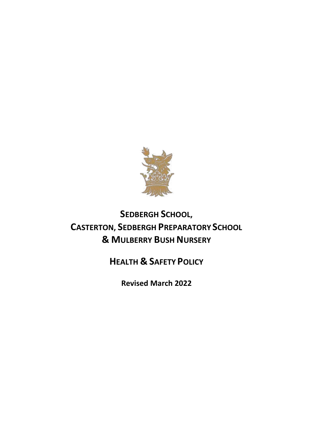

# **SEDBERGH SCHOOL, CASTERTON, SEDBERGH PREPARATORY SCHOOL & MULBERRY BUSH NURSERY**

# **HEALTH & SAFETY POLICY**

**Revised March 2022**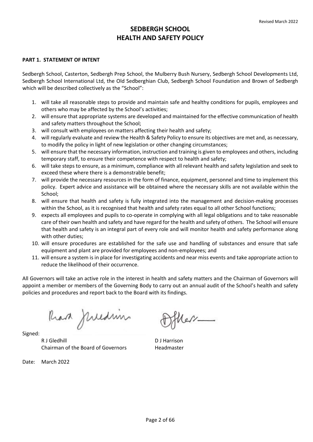# **PART 1. STATEMENT OF INTENT**

Sedbergh School, Casterton, Sedbergh Prep School, the Mulberry Bush Nursery, Sedbergh School Developments Ltd, Sedbergh School International Ltd, the Old Sedberghian Club, Sedbergh School Foundation and Brown of Sedbergh which will be described collectively as the "School":

- 1. will take all reasonable steps to provide and maintain safe and healthy conditions for pupils, employees and others who may be affected by the School's activities;
- 2. will ensure that appropriate systems are developed and maintained for the effective communication of health and safety matters throughout the School;
- 3. will consult with employees on matters affecting their health and safety;
- 4. will regularly evaluate and review the Health & Safety Policy to ensure its objectives are met and, as necessary, to modify the policy in light of new legislation or other changing circumstances;
- 5. will ensure that the necessary information, instruction and training is given to employees and others, including temporary staff, to ensure their competence with respect to health and safety;
- 6. will take steps to ensure, as a minimum, compliance with all relevant health and safety legislation and seek to exceed these where there is a demonstrable benefit;
- 7. will provide the necessary resources in the form of finance, equipment, personnel and time to implement this policy. Expert advice and assistance will be obtained where the necessary skills are not available within the School;
- 8. will ensure that health and safety is fully integrated into the management and decision-making processes within the School, as it is recognised that health and safety rates equal to all other School functions;
- 9. expects all employees and pupils to co-operate in complying with all legal obligations and to take reasonable care of their own health and safety and have regard for the health and safety of others. The School will ensure that health and safety is an integral part of every role and will monitor health and safety performance along with other duties;
- 10. will ensure procedures are established for the safe use and handling of substances and ensure that safe equipment and plant are provided for employees and non-employees; and
- 11. will ensure a system is in place for investigating accidents and near miss events and take appropriate action to reduce the likelihood of their occurrence.

All Governors will take an active role in the interest in health and safety matters and the Chairman of Governors will appoint a member or members of the Governing Body to carry out an annual audit of the School's health and safety policies and procedures and report back to the Board with its findings.

Ran Juedin

Signed:

R J Gledhill **D** J Harrison Chairman of the Board of Governors Headmaster

Date: March 2022

 $\ell$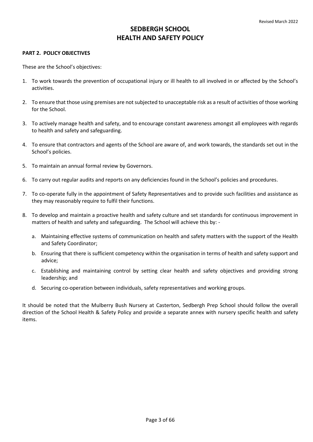### **PART 2. POLICY OBJECTIVES**

These are the School's objectives:

- 1. To work towards the prevention of occupational injury or ill health to all involved in or affected by the School's activities.
- 2. To ensure that those using premises are not subjected to unacceptable risk as a result of activities of those working for the School.
- 3. To actively manage health and safety, and to encourage constant awareness amongst all employees with regards to health and safety and safeguarding.
- 4. To ensure that contractors and agents of the School are aware of, and work towards, the standards set out in the School's policies.
- 5. To maintain an annual formal review by Governors.
- 6. To carry out regular audits and reports on any deficiencies found in the School's policies and procedures.
- 7. To co-operate fully in the appointment of Safety Representatives and to provide such facilities and assistance as they may reasonably require to fulfil their functions.
- 8. To develop and maintain a proactive health and safety culture and set standards for continuous improvement in matters of health and safety and safeguarding. The School will achieve this by:
	- a. Maintaining effective systems of communication on health and safety matters with the support of the Health and Safety Coordinator;
	- b. Ensuring that there is sufficient competency within the organisation in terms of health and safety support and advice;
	- c. Establishing and maintaining control by setting clear health and safety objectives and providing strong leadership; and
	- d. Securing co-operation between individuals, safety representatives and working groups.

It should be noted that the Mulberry Bush Nursery at Casterton, Sedbergh Prep School should follow the overall direction of the School Health & Safety Policy and provide a separate annex with nursery specific health and safety items.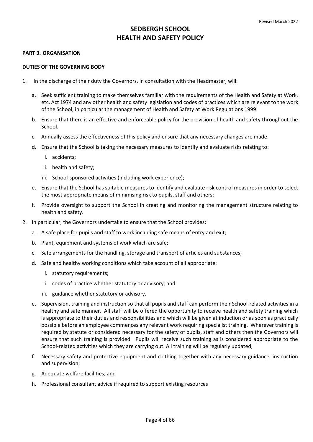### **PART 3. ORGANISATION**

### **DUTIES OF THE GOVERNING BODY**

- 1. In the discharge of their duty the Governors, in consultation with the Headmaster, will:
	- a. Seek sufficient training to make themselves familiar with the requirements of the Health and Safety at Work, etc, Act 1974 and any other health and safety legislation and codes of practices which are relevant to the work of the School, in particular the management of Health and Safety at Work Regulations 1999.
	- b. Ensure that there is an effective and enforceable policy for the provision of health and safety throughout the School.
	- c. Annually assess the effectiveness of this policy and ensure that any necessary changes are made.
	- d. Ensure that the School is taking the necessary measures to identify and evaluate risks relating to:
		- i. accidents;
		- ii. health and safety;
		- iii. School-sponsored activities (including work experience);
	- e. Ensure that the School has suitable measures to identify and evaluate risk control measures in order to select the most appropriate means of minimising risk to pupils, staff and others;
	- f. Provide oversight to support the School in creating and monitoring the management structure relating to health and safety.
- 2. In particular, the Governors undertake to ensure that the School provides:
	- a. A safe place for pupils and staff to work including safe means of entry and exit;
	- b. Plant, equipment and systems of work which are safe;
	- c. Safe arrangements for the handling, storage and transport of articles and substances;
	- d. Safe and healthy working conditions which take account of all appropriate:
		- i. statutory requirements;
		- ii. codes of practice whether statutory or advisory; and
		- iii. guidance whether statutory or advisory.
	- e. Supervision, training and instruction so that all pupils and staff can perform their School-related activities in a healthy and safe manner. All staff will be offered the opportunity to receive health and safety training which is appropriate to their duties and responsibilities and which will be given at induction or as soon as practically possible before an employee commences any relevant work requiring specialist training. Wherever training is required by statute or considered necessary for the safety of pupils, staff and others then the Governors will ensure that such training is provided. Pupils will receive such training as is considered appropriate to the School-related activities which they are carrying out. All training will be regularly updated;
	- f. Necessary safety and protective equipment and clothing together with any necessary guidance, instruction and supervision;
	- g. Adequate welfare facilities; and
	- h. Professional consultant advice if required to support existing resources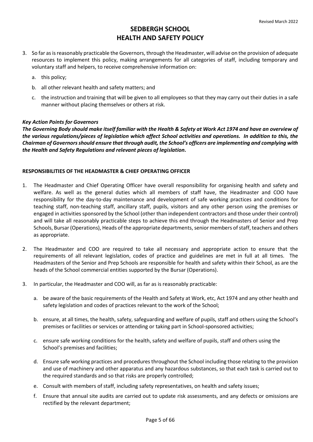- 3. So far as is reasonably practicable the Governors, through the Headmaster, will advise on the provision of adequate resources to implement this policy, making arrangements for all categories of staff, including temporary and voluntary staff and helpers, to receive comprehensive information on:
	- a. this policy;
	- b. all other relevant health and safety matters; and
	- c. the instruction and training that will be given to all employees so that they may carry out their duties in a safe manner without placing themselves or others at risk.

# *Key Action Points for Governors*

*The Governing Body should make itself familiar with the Health & Safety at Work Act 1974 and have an overview of the various regulations/pieces of legislation which affect School activities and operations. In addition to this, the Chairman of Governors should ensure that through audit, the School's officers are implementing and complying with the Health and Safety Regulations and relevant pieces of legislation.* 

# **RESPONSIBILITIES OF THE HEADMASTER & CHIEF OPERATING OFFICER**

- 1. The Headmaster and Chief Operating Officer have overall responsibility for organising health and safety and welfare. As well as the general duties which all members of staff have, the Headmaster and COO have responsibility for the day-to-day maintenance and development of safe working practices and conditions for teaching staff, non-teaching staff, ancillary staff, pupils, visitors and any other person using the premises or engaged in activities sponsored by the School (other than independent contractors and those under their control) and will take all reasonably practicable steps to achieve this end through the Headmasters of Senior and Prep Schools, Bursar (Operations), Heads of the appropriate departments, senior members of staff, teachers and others as appropriate.
- 2. The Headmaster and COO are required to take all necessary and appropriate action to ensure that the requirements of all relevant legislation, codes of practice and guidelines are met in full at all times. The Headmasters of the Senior and Prep Schools are responsible for health and safety within their School, as are the heads of the School commercial entities supported by the Bursar (Operations).
- 3. In particular, the Headmaster and COO will, as far as is reasonably practicable:
	- a. be aware of the basic requirements of the Health and Safety at Work, etc, Act 1974 and any other health and safety legislation and codes of practices relevant to the work of the School;
	- b. ensure, at all times, the health, safety, safeguarding and welfare of pupils, staff and others using the School's premises or facilities or services or attending or taking part in School-sponsored activities;
	- c. ensure safe working conditions for the health, safety and welfare of pupils, staff and others using the School's premises and facilities;
	- d. Ensure safe working practices and procedures throughout the School including those relating to the provision and use of machinery and other apparatus and any hazardous substances, so that each task is carried out to the required standards and so that risks are properly controlled;
	- e. Consult with members of staff, including safety representatives, on health and safety issues;
	- f. Ensure that annual site audits are carried out to update risk assessments, and any defects or omissions are rectified by the relevant department;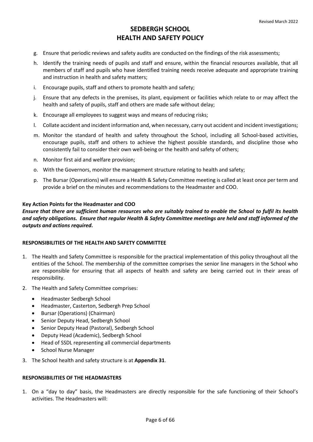- g. Ensure that periodic reviews and safety audits are conducted on the findings of the risk assessments;
- h. Identify the training needs of pupils and staff and ensure, within the financial resources available, that all members of staff and pupils who have identified training needs receive adequate and appropriate training and instruction in health and safety matters;
- i. Encourage pupils, staff and others to promote health and safety;
- j. Ensure that any defects in the premises, its plant, equipment or facilities which relate to or may affect the health and safety of pupils, staff and others are made safe without delay;
- k. Encourage all employees to suggest ways and means of reducing risks;
- l. Collate accident and incident information and, when necessary, carry out accident and incident investigations;
- m. Monitor the standard of health and safety throughout the School, including all School-based activities, encourage pupils, staff and others to achieve the highest possible standards, and discipline those who consistently fail to consider their own well-being or the health and safety of others;
- n. Monitor first aid and welfare provision;
- o. With the Governors, monitor the management structure relating to health and safety;
- p. The Bursar (Operations) will ensure a Health & Safety Committee meeting is called at least once per term and provide a brief on the minutes and recommendations to the Headmaster and COO.

# **Key Action Points for the Headmaster and COO**

*Ensure that there are sufficient human resources who are suitably trained to enable the School to fulfil its health and safety obligations. Ensure that regular Health & Safety Committee meetings are held and staff informed of the outputs and actions required.* 

# **RESPONSIBILITIES OF THE HEALTH AND SAFETY COMMITTEE**

- 1. The Health and Safety Committee is responsible for the practical implementation of this policy throughout all the entities of the School. The membership of the committee comprises the senior line managers in the School who are responsible for ensuring that all aspects of health and safety are being carried out in their areas of responsibility.
- 2. The Health and Safety Committee comprises:
	- Headmaster Sedbergh School
	- Headmaster, Casterton, Sedbergh Prep School
	- Bursar (Operations) (Chairman)
	- Senior Deputy Head, Sedbergh School
	- Senior Deputy Head (Pastoral), Sedbergh School
	- Deputy Head (Academic), Sedbergh School
	- Head of SSDL representing all commercial departments
	- School Nurse Manager
- 3. The School health and safety structure is at **[Appendix 31](#page-63-0)**.

# **RESPONSIBILITIES OF THE HEADMASTERS**

1. On a "day to day" basis, the Headmasters are directly responsible for the safe functioning of their School's activities. The Headmasters will: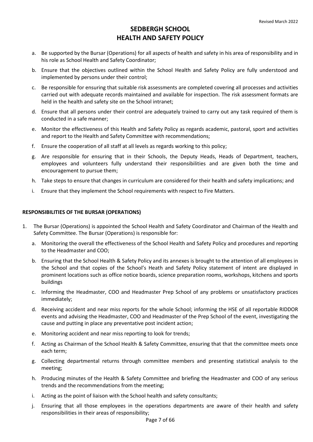- a. Be supported by the Bursar (Operations) for all aspects of health and safety in his area of responsibility and in his role as School Health and Safety Coordinator;
- b. Ensure that the objectives outlined within the School Health and Safety Policy are fully understood and implemented by persons under their control;
- c. Be responsible for ensuring that suitable risk assessments are completed covering all processes and activities carried out with adequate records maintained and available for inspection. The risk assessment formats are held in the health and safety site on the School intranet;
- d. Ensure that all persons under their control are adequately trained to carry out any task required of them is conducted in a safe manner;
- e. Monitor the effectiveness of this Health and Safety Policy as regards academic, pastoral, sport and activities and report to the Health and Safety Committee with recommendations;
- f. Ensure the cooperation of all staff at all levels as regards working to this policy;
- g. Are responsible for ensuring that in their Schools, the Deputy Heads, Heads of Department, teachers, employees and volunteers fully understand their responsibilities and are given both the time and encouragement to pursue them;
- h. Take steps to ensure that changes in curriculum are considered for their health and safety implications; and
- i. Ensure that they implement the School requirements with respect to Fire Matters.

# **RESPONSIBILITIES OF THE BURSAR (OPERATIONS)**

- 1. The Bursar (Operations) is appointed the School Health and Safety Coordinator and Chairman of the Health and Safety Committee. The Bursar (Operations) is responsible for:
	- a. Monitoring the overall the effectiveness of the School Health and Safety Policy and procedures and reporting to the Headmaster and COO;
	- b. Ensuring that the School Health & Safety Policy and its annexes is brought to the attention of all employees in the School and that copies of the School's Heath and Safety Policy statement of intent are displayed in prominent locations such as office notice boards, science preparation rooms, workshops, kitchens and sports buildings
	- c. Informing the Headmaster, COO and Headmaster Prep School of any problems or unsatisfactory practices immediately;
	- d. Receiving accident and near miss reports for the whole School; informing the HSE of all reportable RIDDOR events and advising the Headmaster, COO and Headmaster of the Prep School of the event, investigating the cause and putting in place any preventative post incident action;
	- e. Monitoring accident and near miss reporting to look for trends;
	- f. Acting as Chairman of the School Health & Safety Committee, ensuring that that the committee meets once each term;
	- g. Collecting departmental returns through committee members and presenting statistical analysis to the meeting;
	- h. Producing minutes of the Health & Safety Committee and briefing the Headmaster and COO of any serious trends and the recommendations from the meeting;
	- i. Acting as the point of liaison with the School health and safety consultants;
	- j. Ensuring that all those employees in the operations departments are aware of their health and safety responsibilities in their areas of responsibility;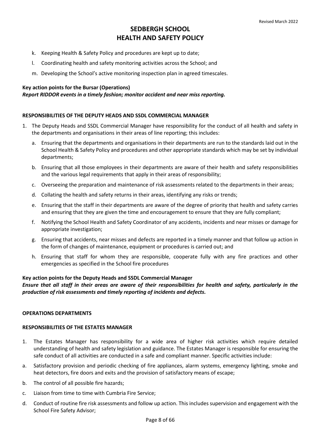- k. Keeping Health & Safety Policy and procedures are kept up to date;
- l. Coordinating health and safety monitoring activities across the School; and
- m. Developing the School's active monitoring inspection plan in agreed timescales.

# **Key action points for the Bursar (Operations)**

# *Report RIDDOR events in a timely fashion; monitor accident and near miss reporting.*

# **RESPONSIBILITIES OF THE DEPUTY HEADS AND SSDL COMMERCIAL MANAGER**

- 1. The Deputy Heads and SSDL Commercial Manager have responsibility for the conduct of all health and safety in the departments and organisations in their areas of line reporting; this includes:
	- a. Ensuring that the departments and organisations in their departments are run to the standards laid out in the School Health & Safety Policy and procedures and other appropriate standards which may be set by individual departments;
	- b. Ensuring that all those employees in their departments are aware of their health and safety responsibilities and the various legal requirements that apply in their areas of responsibility;
	- c. Overseeing the preparation and maintenance of risk assessments related to the departments in their areas;
	- d. Collating the health and safety returns in their areas, identifying any risks or trends;
	- e. Ensuring that the staff in their departments are aware of the degree of priority that health and safety carries and ensuring that they are given the time and encouragement to ensure that they are fully compliant;
	- f. Notifying the School Health and Safety Coordinator of any accidents, incidents and near misses or damage for appropriate investigation;
	- g. Ensuring that accidents, near misses and defects are reported in a timely manner and that follow up action in the form of changes of maintenance, equipment or procedures is carried out; and
	- h. Ensuring that staff for whom they are responsible, cooperate fully with any fire practices and other emergencies as specified in the School fire procedures

# **Key action points for the Deputy Heads and SSDL Commercial Manager**

# *Ensure that all staff in their areas are aware of their responsibilities for health and safety, particularly in the production of risk assessments and timely reporting of incidents and defects.*

# **OPERATIONS DEPARTMENTS**

# **RESPONSIBILITIES OF THE ESTATES MANAGER**

- 1. The Estates Manager has responsibility for a wide area of higher risk activities which require detailed understanding of health and safety legislation and guidance. The Estates Manager is responsible for ensuring the safe conduct of all activities are conducted in a safe and compliant manner. Specific activities include:
- a. Satisfactory provision and periodic checking of fire appliances, alarm systems, emergency lighting, smoke and heat detectors, fire doors and exits and the provision of satisfactory means of escape;
- b. The control of all possible fire hazards;
- c. Liaison from time to time with Cumbria Fire Service;
- d. Conduct of routine fire risk assessments and follow up action. This includes supervision and engagement with the School Fire Safety Advisor;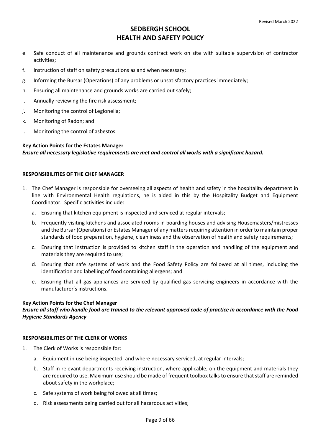- e. Safe conduct of all maintenance and grounds contract work on site with suitable supervision of contractor activities;
- f. Instruction of staff on safety precautions as and when necessary;
- g. Informing the Bursar (Operations) of any problems or unsatisfactory practices immediately;
- h. Ensuring all maintenance and grounds works are carried out safely;
- i. Annually reviewing the fire risk assessment;
- j. Monitoring the control of Legionella;
- k. Monitoring of Radon; and
- l. Monitoring the control of asbestos.

# **Key Action Points for the Estates Manager**  *Ensure all necessary legislative requirements are met and control all works with a significant hazard.*

# **RESPONSIBILITIES OF THE CHEF MANAGER**

- 1. The Chef Manager is responsible for overseeing all aspects of health and safety in the hospitality department in line with Environmental Health regulations, he is aided in this by the Hospitality Budget and Equipment Coordinator. Specific activities include:
	- a. Ensuring that kitchen equipment is inspected and serviced at regular intervals;
	- b. Frequently visiting kitchens and associated rooms in boarding houses and advising Housemasters/mistresses and the Bursar (Operations) or Estates Manager of any matters requiring attention in order to maintain proper standards of food preparation, hygiene, cleanliness and the observation of health and safety requirements;
	- c. Ensuring that instruction is provided to kitchen staff in the operation and handling of the equipment and materials they are required to use;
	- d. Ensuring that safe systems of work and the Food Safety Policy are followed at all times, including the identification and labelling of food containing allergens; and
	- e. Ensuring that all gas appliances are serviced by qualified gas servicing engineers in accordance with the manufacturer's instructions.

# **Key Action Points for the Chef Manager**

*Ensure all staff who handle food are trained to the relevant approved code of practice in accordance with the Food Hygiene Standards Agency* 

# **RESPONSIBILITIES OF THE CLERK OF WORKS**

- 1. The Clerk of Works is responsible for:
	- a. Equipment in use being inspected, and where necessary serviced, at regular intervals;
	- b. Staff in relevant departments receiving instruction, where applicable, on the equipment and materials they are required to use. Maximum use should be made of frequent toolbox talks to ensure that staff are reminded about safety in the workplace;
	- c. Safe systems of work being followed at all times;
	- d. Risk assessments being carried out for all hazardous activities;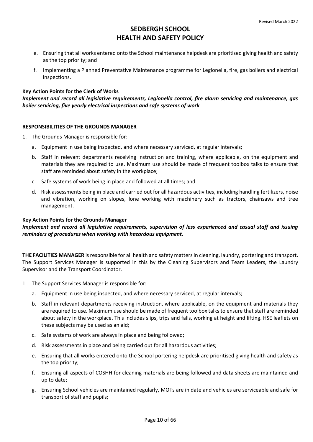- e. Ensuring that all works entered onto the School maintenance helpdesk are prioritised giving health and safety as the top priority; and
- f. Implementing a Planned Preventative Maintenance programme for Legionella, fire, gas boilers and electrical inspections.

# **Key Action Points for the Clerk of Works**

*Implement and record all legislative requirements, Legionella control, fire alarm servicing and maintenance, gas boiler servicing, five yearly electrical inspections and safe systems of work* 

# **RESPONSIBILITIES OF THE GROUNDS MANAGER**

- 1. The Grounds Manager is responsible for:
	- a. Equipment in use being inspected, and where necessary serviced, at regular intervals;
	- b. Staff in relevant departments receiving instruction and training, where applicable, on the equipment and materials they are required to use. Maximum use should be made of frequent toolbox talks to ensure that staff are reminded about safety in the workplace;
	- c. Safe systems of work being in place and followed at all times; and
	- d. Risk assessments being in place and carried out for all hazardous activities, including handling fertilizers, noise and vibration, working on slopes, lone working with machinery such as tractors, chainsaws and tree management.

# **Key Action Points for the Grounds Manager**

*Implement and record all legislative requirements, supervision of less experienced and casual staff and issuing reminders of procedures when working with hazardous equipment.* 

**THE FACILITIES MANAGER** is responsible for all health and safety matters in cleaning, laundry, portering and transport. The Support Services Manager is supported in this by the Cleaning Supervisors and Team Leaders, the Laundry Supervisor and the Transport Coordinator.

- 1. The Support Services Manager is responsible for:
	- a. Equipment in use being inspected, and where necessary serviced, at regular intervals;
	- b. Staff in relevant departments receiving instruction, where applicable, on the equipment and materials they are required to use. Maximum use should be made of frequent toolbox talks to ensure that staff are reminded about safety in the workplace. This includes slips, trips and falls, working at height and lifting. HSE leaflets on these subjects may be used as an aid;
	- c. Safe systems of work are always in place and being followed;
	- d. Risk assessments in place and being carried out for all hazardous activities;
	- e. Ensuring that all works entered onto the School portering helpdesk are prioritised giving health and safety as the top priority;
	- f. Ensuring all aspects of COSHH for cleaning materials are being followed and data sheets are maintained and up to date;
	- g. Ensuring School vehicles are maintained regularly, MOTs are in date and vehicles are serviceable and safe for transport of staff and pupils;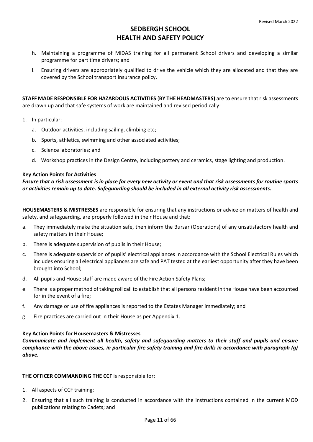- h. Maintaining a programme of MiDAS training for all permanent School drivers and developing a similar programme for part time drivers; and
- I. Ensuring drivers are appropriately qualified to drive the vehicle which they are allocated and that they are covered by the School transport insurance policy.

**STAFF MADE RESPONSIBLE FOR HAZARDOUS ACTIVITIES** (**BY THE HEADMASTERS)** are to ensure that risk assessments are drawn up and that safe systems of work are maintained and revised periodically:

- 1. In particular:
	- a. Outdoor activities, including sailing, climbing etc;
	- b. Sports, athletics, swimming and other associated activities;
	- c. Science laboratories; and
	- d. Workshop practices in the Design Centre, including pottery and ceramics, stage lighting and production.

### **Key Action Points for Activities**

*Ensure that a risk assessment is in place for every new activity or event and that risk assessments for routine sports or activities remain up to date. Safeguarding should be included in all external activity risk assessments.* 

**HOUSEMASTERS & MISTRESSES** are responsible for ensuring that any instructions or advice on matters of health and safety, and safeguarding, are properly followed in their House and that:

- a. They immediately make the situation safe, then inform the Bursar (Operations) of any unsatisfactory health and safety matters in their House;
- b. There is adequate supervision of pupils in their House;
- c. There is adequate supervision of pupils' electrical appliances in accordance with the School Electrical Rules which includes ensuring all electrical appliances are safe and PAT tested at the earliest opportunity after they have been brought into School;
- d. All pupils and House staff are made aware of the Fire Action Safety Plans;
- e. There is a proper method of taking roll call to establish that all persons resident in the House have been accounted for in the event of a fire;
- f. Any damage or use of fire appliances is reported to the Estates Manager immediately; and
- g. Fire practices are carried out in their House as pe[r Appendix 1.](#page-14-0)

#### **Key Action Points for Housemasters & Mistresses**

*Communicate and implement all health, safety and safeguarding matters to their staff and pupils and ensure compliance with the above issues, in particular fire safety training and fire drills in accordance with paragraph (g) above.* 

#### **THE OFFICER COMMANDING THE CCF** is responsible for:

- 1. All aspects of CCF training;
- 2. Ensuring that all such training is conducted in accordance with the instructions contained in the current MOD publications relating to Cadets; and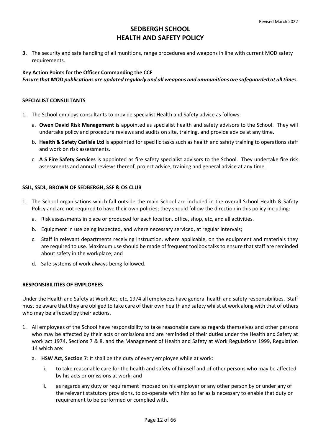**3.** The security and safe handling of all munitions, range procedures and weapons in line with current MOD safety requirements.

# **Key Action Points for the Officer Commanding the CCF**  *Ensure that MOD publications are updated regularly and all weapons and ammunitions are safeguarded at all times.*

# **SPECIALIST CONSULTANTS**

- 1. The School employs consultants to provide specialist Health and Safety advice as follows:
	- a. **Owen David Risk Management is** appointed as specialist health and safety advisors to the School. They will undertake policy and procedure reviews and audits on site, training, and provide advice at any time.
	- b. **Health & Safety Carlisle Ltd** is appointed for specific tasks such as health and safety training to operations staff and work on risk assessments.
	- c. **A S Fire Safety Services** is appointed as fire safety specialist advisors to the School. They undertake fire risk assessments and annual reviews thereof, project advice, training and general advice at any time.

# **SSIL, SSDL, BROWN OF SEDBERGH, SSF & OS CLUB**

- 1. The School organisations which fall outside the main School are included in the overall School Health & Safety Policy and are not required to have their own policies; they should follow the direction in this policy including:
	- a. Risk assessments in place or produced for each location, office, shop, etc, and all activities.
	- b. Equipment in use being inspected, and where necessary serviced, at regular intervals;
	- c. Staff in relevant departments receiving instruction, where applicable, on the equipment and materials they are required to use. Maximum use should be made of frequent toolbox talks to ensure that staff are reminded about safety in the workplace; and
	- d. Safe systems of work always being followed.

# **RESPONSIBILITIES OF EMPLOYEES**

Under the Health and Safety at Work Act, etc, 1974 all employees have general health and safety responsibilities. Staff must be aware that they are obliged to take care of their own health and safety whilst at work along with that of others who may be affected by their actions.

- 1. All employees of the School have responsibility to take reasonable care as regards themselves and other persons who may be affected by their acts or omissions and are reminded of their duties under the Health and Safety at work act 1974, Sections 7 & 8, and the Management of Health and Safety at Work Regulations 1999, Regulation 14 which are:
	- a. **HSW Act, Section 7**: It shall be the duty of every employee while at work:
		- i. to take reasonable care for the health and safety of himself and of other persons who may be affected by his acts or omissions at work; and
		- ii. as regards any duty or requirement imposed on his employer or any other person by or under any of the relevant statutory provisions, to co-operate with him so far as is necessary to enable that duty or requirement to be performed or complied with.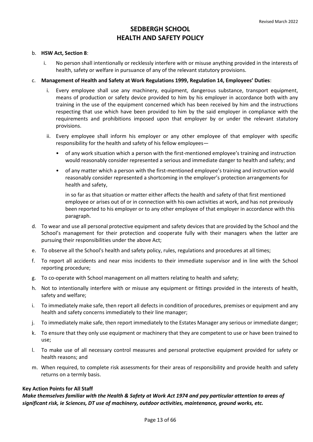#### b. **HSW Act, Section 8**:

i. No person shall intentionally or recklessly interfere with or misuse anything provided in the interests of health, safety or welfare in pursuance of any of the relevant statutory provisions.

### c. **Management of Health and Safety at Work Regulations 1999, Regulation 14, Employees' Duties**:

- i. Every employee shall use any machinery, equipment, dangerous substance, transport equipment, means of production or safety device provided to him by his employer in accordance both with any training in the use of the equipment concerned which has been received by him and the instructions respecting that use which have been provided to him by the said employer in compliance with the requirements and prohibitions imposed upon that employer by or under the relevant statutory provisions.
- ii. Every employee shall inform his employer or any other employee of that employer with specific responsibility for the health and safety of his fellow employees—
	- of any work situation which a person with the first-mentioned employee's training and instruction would reasonably consider represented a serious and immediate danger to health and safety; and
	- of any matter which a person with the first-mentioned employee's training and instruction would reasonably consider represented a shortcoming in the employer's protection arrangements for health and safety,

in so far as that situation or matter either affects the health and safety of that first mentioned employee or arises out of or in connection with his own activities at work, and has not previously been reported to his employer or to any other employee of that employer in accordance with this paragraph.

- d. To wear and use all personal protective equipment and safety devices that are provided by the School and the School's management for their protection and cooperate fully with their managers when the latter are pursuing their responsibilities under the above Act;
- e. To observe all the School's health and safety policy, rules, regulations and procedures at all times;
- f. To report all accidents and near miss incidents to their immediate supervisor and in line with the School reporting procedure;
- g. To co-operate with School management on all matters relating to health and safety;
- h. Not to intentionally interfere with or misuse any equipment or fittings provided in the interests of health, safety and welfare;
- i. To immediately make safe, then report all defects in condition of procedures, premises or equipment and any health and safety concerns immediately to their line manager;
- j. To immediately make safe, then report immediately to the Estates Manager any serious or immediate danger;
- k. To ensure that they only use equipment or machinery that they are competent to use or have been trained to use;
- l. To make use of all necessary control measures and personal protective equipment provided for safety or health reasons; and
- m. When required, to complete risk assessments for their areas of responsibility and provide health and safety returns on a termly basis.

# **Key Action Points for All Staff**

*Make themselves familiar with the Health & Safety at Work Act 1974 and pay particular attention to areas of significant risk, ie Sciences, DT use of machinery, outdoor activities, maintenance, ground works, etc.*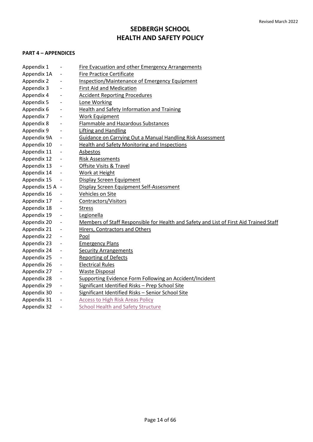# **PART 4 – APPENDICES**

| Appendix 1      |                          | <b>Fire Evacuation and other Emergency Arrangements</b>                                |
|-----------------|--------------------------|----------------------------------------------------------------------------------------|
| Appendix 1A     | $\qquad \qquad -$        | <b>Fire Practice Certificate</b>                                                       |
| Appendix 2      | $\overline{\phantom{a}}$ | <b>Inspection/Maintenance of Emergency Equipment</b>                                   |
| Appendix 3      | $\overline{\phantom{a}}$ | <b>First Aid and Medication</b>                                                        |
| Appendix 4      | $\overline{\phantom{a}}$ | <b>Accident Reporting Procedures</b>                                                   |
| Appendix 5      | $\overline{\phantom{a}}$ | Lone Working                                                                           |
| Appendix 6      | $\overline{\phantom{a}}$ | Health and Safety Information and Training                                             |
| Appendix 7      | $\overline{\phantom{a}}$ | <b>Work Equipment</b>                                                                  |
| Appendix 8      | $\overline{\phantom{a}}$ | Flammable and Hazardous Substances                                                     |
| Appendix 9      | $\overline{\phantom{a}}$ | <b>Lifting and Handling</b>                                                            |
| Appendix 9A     | $\overline{\phantom{a}}$ | <b>Guidance on Carrying Out a Manual Handling Risk Assessment</b>                      |
| Appendix 10     | $\overline{\phantom{a}}$ | Health and Safety Monitoring and Inspections                                           |
| Appendix 11     | $\overline{\phantom{a}}$ | Asbestos                                                                               |
| Appendix 12     |                          | <b>Risk Assessments</b>                                                                |
| Appendix 13     |                          | Offsite Visits & Travel                                                                |
| Appendix 14     |                          | Work at Height                                                                         |
| Appendix 15     | $\overline{\phantom{a}}$ | <b>Display Screen Equipment</b>                                                        |
| Appendix 15 A - |                          | Display Screen Equipment Self-Assessment                                               |
| Appendix 16     |                          | Vehicles on Site                                                                       |
| Appendix 17     | $\overline{\phantom{a}}$ | <b>Contractors/Visitors</b>                                                            |
| Appendix 18     |                          | <b>Stress</b>                                                                          |
| Appendix 19     | $\overline{\phantom{a}}$ | Legionella                                                                             |
| Appendix 20     | $\overline{\phantom{a}}$ | Members of Staff Responsible for Health and Safety and List of First Aid Trained Staff |
| Appendix 21     | $\overline{\phantom{a}}$ | Hirers, Contractors and Others                                                         |
| Appendix 22     | $\overline{\phantom{a}}$ | Pool                                                                                   |
| Appendix 23     | $\overline{\phantom{a}}$ | <b>Emergency Plans</b>                                                                 |
| Appendix 24     | $\overline{\phantom{a}}$ | <b>Security Arrangements</b>                                                           |
| Appendix 25     |                          | <b>Reporting of Defects</b>                                                            |
| Appendix 26     |                          | <b>Electrical Rules</b>                                                                |
| Appendix 27     | $\overline{\phantom{a}}$ | <b>Waste Disposal</b>                                                                  |
| Appendix 28     | $\overline{\phantom{a}}$ | Supporting Evidence Form Following an Accident/Incident                                |
| Appendix 29     | $\overline{\phantom{a}}$ | Significant Identified Risks - Prep School Site                                        |
| Appendix 30     | $\overline{\phantom{a}}$ | Significant Identified Risks - Senior School Site                                      |
| Appendix 31     |                          | <b>Access to High Risk Areas Policy</b>                                                |
| Appendix 32     | $\overline{\phantom{a}}$ | <b>School Health and Safety Structure</b>                                              |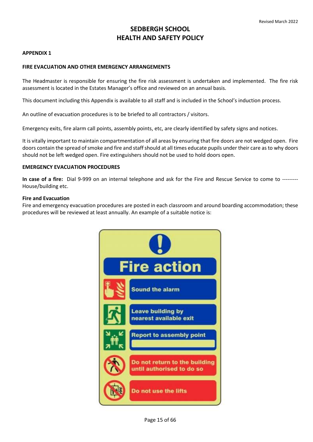# <span id="page-14-0"></span>**APPENDIX 1**

### **FIRE EVACUATION AND OTHER EMERGENCY ARRANGEMENTS**

The Headmaster is responsible for ensuring the fire risk assessment is undertaken and implemented. The fire risk assessment is located in the Estates Manager's office and reviewed on an annual basis.

This document including this Appendix is available to all staff and is included in the School's induction process.

An outline of evacuation procedures is to be briefed to all contractors / visitors.

Emergency exits, fire alarm call points, assembly points, etc, are clearly identified by safety signs and notices.

It is vitally important to maintain compartmentation of all areas by ensuring that fire doors are not wedged open. Fire doors contain the spread of smoke and fire and staff should at all times educate pupils under their care as to why doors should not be left wedged open. Fire extinguishers should not be used to hold doors open.

#### **EMERGENCY EVACUATION PROCEDURES**

**In case of a fire:** Dial 9-999 on an internal telephone and ask for the Fire and Rescue Service to come to --------- House/building etc.

### **Fire and Evacuation**

Fire and emergency evacuation procedures are posted in each classroom and around boarding accommodation; these procedures will be reviewed at least annually. An example of a suitable notice is:

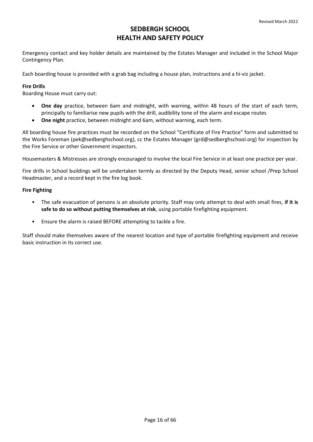Emergency contact and key holder details are maintained by the Estates Manager and included in the School Major Contingency Plan.

Each boarding house is provided with a grab bag including a house plan, instructions and a hi-viz jacket.

# **Fire Drills**

Boarding House must carry out:

- **One day** practice, between 6am and midnight, with warning, within 48 hours of the start of each term, principally to familiarise new pupils with the drill, audibility tone of the alarm and escape routes
- **One night** practice, between midnight and 6am, without warning, each term.

All boarding house fire practices must be recorded on the School "Certificate of Fire Practice" form and submitted to the Works Foreman [\(pek@sedberghschool.org\)](mailto:pek@sedberghschool.org), cc the Estates Manager (grd@sedberghschool.org) for inspection by the Fire Service or other Government inspectors.

Housemasters & Mistresses are strongly encouraged to involve the local Fire Service in at least one practice per year.

Fire drills in School buildings will be undertaken termly as directed by the Deputy Head, senior school /Prep School Headmaster, and a record kept in the fire log book.

# **Fire Fighting**

- The safe evacuation of persons is an absolute priority. Staff may only attempt to deal with small fires, **if it is safe to do so without putting themselves at risk**, using portable firefighting equipment.
- Ensure the alarm is raised BEFORE attempting to tackle a fire.

Staff should make themselves aware of the nearest location and type of portable firefighting equipment and receive basic instruction in its correct use.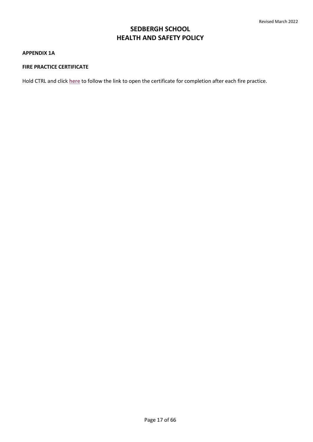#### <span id="page-16-0"></span>**APPENDIX 1A**

# **FIRE PRACTICE CERTIFICATE**

Hold CTRL and click **[here](https://sedberghschool.sharepoint.com/sites/TheHub/HS%20Documents%20OLD/Forms/AllItems.aspx?id=%2Fsites%2FTheHub%2FHS%20Documents%20OLD%2FFire%20Practice%20Certificate%2FFire%20Practice%20Certificate%2E%2Epdf&parent=%2Fsites%2FTheHub%2FHS%20Documents%20OLD%2FFire%20Practice%20Certificate)** to follow the link to open the certificate for completion after each fire practice.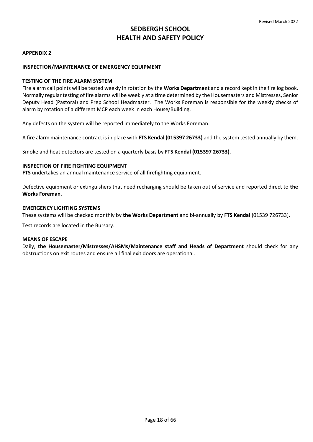# **APPENDIX 2**

# **INSPECTION/MAINTENANCE OF EMERGENCY EQUIPMENT**

# **TESTING OF THE FIRE ALARM SYSTEM**

Fire alarm call points will be tested weekly in rotation by the **Works Department** and a record kept in the fire log book. Normally regular testing of fire alarms will be weekly at a time determined by the Housemasters and Mistresses, Senior Deputy Head (Pastoral) and Prep School Headmaster. The Works Foreman is responsible for the weekly checks of alarm by rotation of a different MCP each week in each House/Building.

Any defects on the system will be reported immediately to the Works Foreman.

A fire alarm maintenance contract is in place with **FTS Kendal (015397 26733)** and the system tested annually by them.

Smoke and heat detectors are tested on a quarterly basis by **FTS Kendal (015397 26733)**.

# **INSPECTION OF FIRE FIGHTING EQUIPMENT**

**FTS** undertakes an annual maintenance service of all firefighting equipment.

Defective equipment or extinguishers that need recharging should be taken out of service and reported direct to **the Works Foreman**.

# **EMERGENCY LIGHTING SYSTEMS**

These systems will be checked monthly by **the Works Department** and bi-annually by **FTS Kendal** (01539 726733).

Test records are located in the Bursary.

# **MEANS OF ESCAPE**

Daily, **the Housemaster/Mistresses/AHSMs/Maintenance staff and Heads of Department** should check for any obstructions on exit routes and ensure all final exit doors are operational.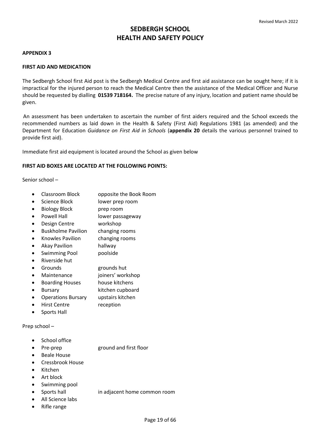# <span id="page-18-0"></span>**APPENDIX 3**

# **FIRST AID AND MEDICATION**

The Sedbergh School first Aid post is the Sedbergh Medical Centre and first aid assistance can be sought here; if it is impractical for the injured person to reach the Medical Centre then the assistance of the Medical Officer and Nurse should be requested by dialling **01539 718164.** The precise nature of any injury, location and patient name should be given.

 An assessment has been undertaken to ascertain the number of first aiders required and the School exceeds the recommended numbers as laid down in the Health & Safety (First Aid) Regulations 1981 (as amended) and the Department for Education *Guidance on First Aid in Schools* (**[appendix 20](#page-48-0)** details the various personnel trained to provide first aid).

Immediate first aid equipment is located around the School as given below

# **FIRST AID BOXES ARE LOCATED AT THE FOLLOWING POINTS:**

Senior school –

- Classroom Block opposite the Book Room
- Science Block lower prep room
- Biology Block prep room
- Powell Hall lower passageway
- Design Centre workshop
- Buskholme Pavilion changing rooms
- Knowles Pavilion changing rooms
- Akay Pavilion hallway
- Swimming Pool poolside
- Riverside hut
- Grounds grounds hut
- Maintenance joiners' workshop
- Boarding Houses house kitchens
- Bursary kitchen cupboard
- Operations Bursary upstairs kitchen
- Hirst Centre reception
- Sports Hall

Prep school –

- School office
- Pre-prep ground and first floor
- Beale House
- Cressbrook House
- Kitchen
- Art block
- Swimming pool
- Sports hall in adjacent home common room
- All Science labs
- Rifle range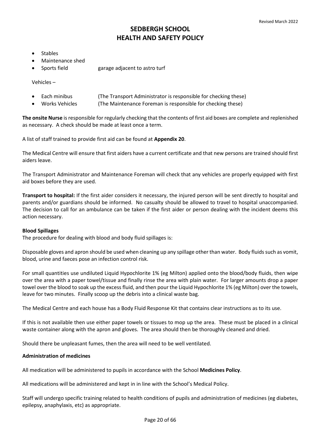- **Stables**
- Maintenance shed
- Sports field garage adjacent to astro turf

Vehicles –

- Each minibus (The Transport Administrator is responsible for checking these)
	- Works Vehicles (The Maintenance Foreman is responsible for checking these)

**The onsite Nurse** is responsible for regularly checking that the contents of first aid boxes are complete and replenished as necessary. A check should be made at least once a term.

A list of staff trained to provide first aid can be found at **[Appendix 20](#page-48-0)**.

The Medical Centre will ensure that first aiders have a current certificate and that new persons are trained should first aiders leave.

The Transport Administrator and Maintenance Foreman will check that any vehicles are properly equipped with first aid boxes before they are used.

**Transport to hospital:** If the first aider considers it necessary, the injured person will be sent directly to hospital and parents and/or guardians should be informed. No casualty should be allowed to travel to hospital unaccompanied. The decision to call for an ambulance can be taken if the first aider or person dealing with the incident deems this action necessary.

# **Blood Spillages**

The procedure for dealing with blood and body fluid spillages is:

Disposable gloves and apron should be used when cleaning up any spillage other than water. Body fluids such as vomit, blood, urine and faeces pose an infection control risk.

For small quantities use undiluted Liquid Hypochlorite 1% (eg Milton) applied onto the blood/body fluids, then wipe over the area with a paper towel/tissue and finally rinse the area with plain water. For larger amounts drop a paper towel over the blood to soak up the excess fluid, and then pour the Liquid Hypochlorite 1% (eg Milton) over the towels, leave for two minutes. Finally scoop up the debris into a clinical waste bag.

The Medical Centre and each house has a Body Fluid Response Kit that contains clear instructions as to its use.

If this is not available then use either paper towels or tissues to mop up the area. These must be placed in a clinical waste container along with the apron and gloves. The area should then be thoroughly cleaned and dried.

Should there be unpleasant fumes, then the area will need to be well ventilated.

# **Administration of medicines**

All medication will be administered to pupils in accordance with the School **[Medicines Policy](file://///ullswater/staffshared/staff/School%20Policies/ISI%20policies/Medicines%20Policy.doc)**.

All medications will be administered and kept in in line with the School's Medical Policy.

Staff will undergo specific training related to health conditions of pupils and administration of medicines (eg diabetes, epilepsy, anaphylaxis, etc) as appropriate.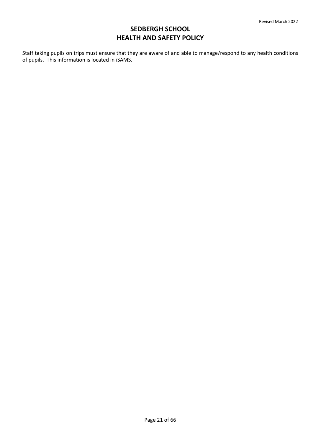Staff taking pupils on trips must ensure that they are aware of and able to manage/respond to any health conditions of pupils. This information is located in iSAMS.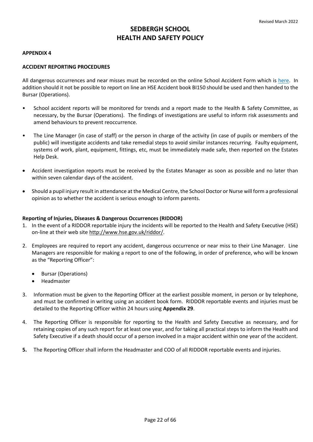# <span id="page-21-0"></span>**APPENDIX 4**

# **ACCIDENT REPORTING PROCEDURES**

All dangerous occurrences and near misses must be recorded on the online School Accident Form which is [here.](https://eur02.safelinks.protection.outlook.com/?url=https%3A%2F%2Ffs27.formsite.com%2FXIy118%2Fahfdf77ev4%2Findex.html%3F1606465692743&data=04%7C01%7Cmhm%40sedberghschool.org%7C30e60d666b4b4602ed8808d9d68ca574%7C658fa1e1f3bd447c9a8da43b11e8d1e0%7C0%7C0%7C637776721816214498%7CUnknown%7CTWFpbGZsb3d8eyJWIjoiMC4wLjAwMDAiLCJQIjoiV2luMzIiLCJBTiI6Ik1haWwiLCJXVCI6Mn0%3D%7C3000&sdata=301foI9%2FlsRSmvE981yroCovxeWiRjcUNwoPL5ksaBw%3D&reserved=0) In addition should it not be possible to report on line an HSE Accident book BI150 should be used and then handed to the Bursar (Operations).

- School accident reports will be monitored for trends and a report made to the Health & Safety Committee, as necessary, by the Bursar (Operations). The findings of investigations are useful to inform risk assessments and amend behaviours to prevent reoccurrence.
- The Line Manager (in case of staff) or the person in charge of the activity (in case of pupils or members of the public) will investigate accidents and take remedial steps to avoid similar instances recurring. Faulty equipment, systems of work, plant, equipment, fittings, etc, must be immediately made safe, then reported on the Estates Help Desk.
- Accident investigation reports must be received by the Estates Manager as soon as possible and no later than within seven calendar days of the accident.
- Should a pupil injury result in attendance at the Medical Centre, the School Doctor or Nurse will form a professional opinion as to whether the accident is serious enough to inform parents.

# **Reporting of Injuries, Diseases & Dangerous Occurrences (RIDDOR)**

- 1. In the event of a RIDDOR reportable injury the incidents will be reported to the Health and Safety Executive (HSE) on-line at their web site http://www.hse.gov.uk/riddor/.
- 2. Employees are required to report any accident, dangerous occurrence or near miss to their Line Manager. Line Managers are responsible for making a report to one of the following, in order of preference, who will be known as the "Reporting Officer":
	- Bursar (Operations)
	- Headmaster
- 3. Information must be given to the Reporting Officer at the earliest possible moment, in person or by telephone, and must be confirmed in writing using an accident book form. RIDDOR reportable events and injuries must be detailed to the Reporting Officer within 24 hours using **[Appendix 29](#page-60-0)**.
- 4. The Reporting Officer is responsible for reporting to the Health and Safety Executive as necessary, and for retaining copies of any such report for at least one year, and for taking all practical steps to inform the Health and Safety Executive if a death should occur of a person involved in a major accident within one year of the accident.
- **5.** The Reporting Officer shall inform the Headmaster and COO of all RIDDOR reportable events and injuries.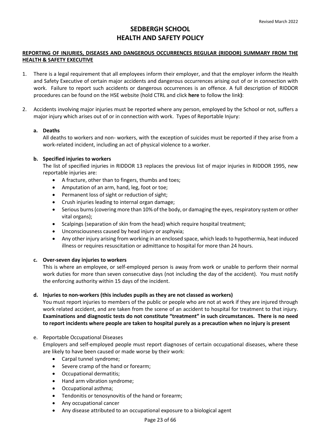# **REPORTING OF INJURIES, DISEASES AND DANGEROUS OCCURRENCES REGULAR (RIDDOR) SUMMARY FROM THE HEALTH & SAFETY EXECUTIVE**

- 1. There is a legal requirement that all employees inform their employer, and that the employer inform the Health and Safety Executive of certain major accidents and dangerous occurrences arising out of or in connection with work. Failure to report such accidents or dangerous occurrences is an offence. A full description of RIDDOR procedures can be found on the HSE website (hold CTRL and click **[here](https://www.hse.gov.uk/riddor/report.htm)** to follow the link**)**:
- 2. Accidents involving major injuries must be reported where any person, employed by the School or not, suffers a major injury which arises out of or in connection with work. Types of Reportable Injury:

# **a. Deaths**

All deaths to workers and non- workers, with the exception of suicides must be reported if they arise from a work-related incident, including an act of physical violence to a worker.

# **b. Specified injuries to workers**

The list of specified injuries in RIDDOR 13 replaces the previous list of major injuries in RIDDOR 1995, new reportable injuries are:

- A fracture, other than to fingers, thumbs and toes;
- Amputation of an arm, hand, leg, foot or toe;
- Permanent loss of sight or reduction of sight;
- Crush injuries leading to internal organ damage;
- Serious burns (covering more than 10% of the body, or damaging the eyes, respiratory system or other vital organs);
- Scalpings (separation of skin from the head) which require hospital treatment;
- Unconsciousness caused by head injury or asphyxia;
- Any other injury arising from working in an enclosed space, which leads to hypothermia, heat induced illness or requires resuscitation or admittance to hospital for more than 24 hours.

# **c. Over-seven day injuries to workers**

This is where an employee, or self-employed person is away from work or unable to perform their normal work duties for more than seven consecutive days (not including the day of the accident). You must notify the enforcing authority within 15 days of the incident.

# **d. Injuries to non-workers (this includes pupils as they are not classed as workers)**

You must report injuries to members of the public or people who are not at work if they are injured through work related accident, and are taken from the scene of an accident to hospital for treatment to that injury. **Examinations and diagnostic tests do not constitute "treatment" in such circumstances. There is no need to report incidents where people are taken to hospital purely as a precaution when no injury is present** 

# e. Reportable Occupational Diseases

Employers and self-employed people must report diagnoses of certain occupational diseases, where these are likely to have been caused or made worse by their work:

- Carpal tunnel syndrome;
- Severe cramp of the hand or forearm;
- Occupational dermatitis;
- Hand arm vibration syndrome;
- Occupational asthma;
- Tendonitis or tenosynovitis of the hand or forearm;
- Any occupational cancer
- Any disease attributed to an occupational exposure to a biological agent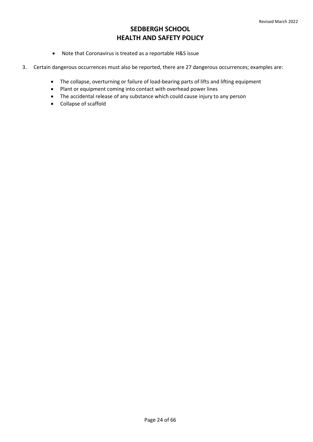- Note that Coronavirus is treated as a reportable H&S issue
- 3. Certain dangerous occurrences must also be reported, there are 27 dangerous occurrences; examples are:
	- The collapse, overturning or failure of load-bearing parts of lifts and lifting equipment
	- Plant or equipment coming into contact with overhead power lines
	- The accidental release of any substance which could cause injury to any person
	- Collapse of scaffold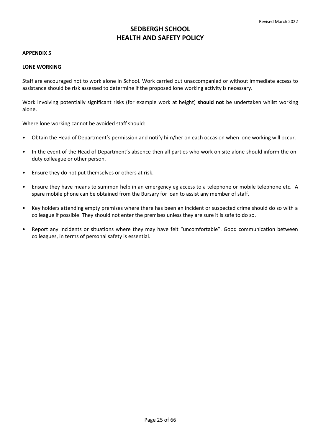### <span id="page-24-0"></span>**APPENDIX 5**

### **LONE WORKING**

Staff are encouraged not to work alone in School. Work carried out unaccompanied or without immediate access to assistance should be risk assessed to determine if the proposed lone working activity is necessary.

Work involving potentially significant risks (for example work at height) **should not** be undertaken whilst working alone.

Where lone working cannot be avoided staff should:

- Obtain the Head of Department's permission and notify him/her on each occasion when lone working will occur.
- In the event of the Head of Department's absence then all parties who work on site alone should inform the onduty colleague or other person.
- Ensure they do not put themselves or others at risk.
- Ensure they have means to summon help in an emergency eg access to a telephone or mobile telephone etc. A spare mobile phone can be obtained from the Bursary for loan to assist any member of staff.
- Key holders attending empty premises where there has been an incident or suspected crime should do so with a colleague if possible. They should not enter the premises unless they are sure it is safe to do so.
- Report any incidents or situations where they may have felt "uncomfortable". Good communication between colleagues, in terms of personal safety is essential.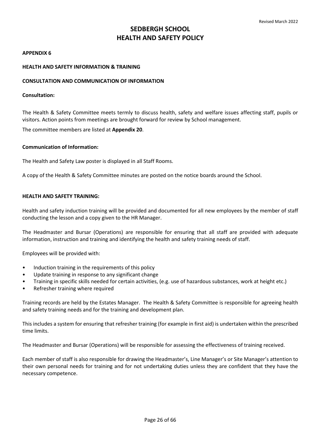### <span id="page-25-0"></span>**APPENDIX 6**

# **HEALTH AND SAFETY INFORMATION & TRAINING**

### **CONSULTATION AND COMMUNICATION OF INFORMATION**

#### **Consultation:**

The Health & Safety Committee meets termly to discuss health, safety and welfare issues affecting staff, pupils or visitors. Action points from meetings are brought forward for review by School management.

The committee members are listed at **[Appendix 20](#page-48-0)**.

### **Communication of Information:**

The Health and Safety Law poster is displayed in all Staff Rooms.

A copy of the Health & Safety Committee minutes are posted on the notice boards around the School.

### **HEALTH AND SAFETY TRAINING:**

Health and safety induction training will be provided and documented for all new employees by the member of staff conducting the lesson and a copy given to the HR Manager.

The Headmaster and Bursar (Operations) are responsible for ensuring that all staff are provided with adequate information, instruction and training and identifying the health and safety training needs of staff.

Employees will be provided with:

- Induction training in the requirements of this policy
- Update training in response to any significant change
- Training in specific skills needed for certain activities, (e.g. use of hazardous substances, work at height etc.)
- Refresher training where required

Training records are held by the Estates Manager. The Health & Safety Committee is responsible for agreeing health and safety training needs and for the training and development plan.

This includes a system for ensuring that refresher training (for example in first aid) is undertaken within the prescribed time limits.

The Headmaster and Bursar (Operations) will be responsible for assessing the effectiveness of training received.

Each member of staff is also responsible for drawing the Headmaster's, Line Manager's or Site Manager's attention to their own personal needs for training and for not undertaking duties unless they are confident that they have the necessary competence.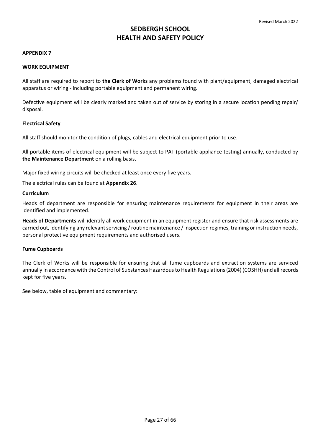## <span id="page-26-0"></span>**APPENDIX 7**

### **WORK EQUIPMENT**

All staff are required to report to **the Clerk of Works** any problems found with plant/equipment, damaged electrical apparatus or wiring - including portable equipment and permanent wiring.

Defective equipment will be clearly marked and taken out of service by storing in a secure location pending repair/ disposal.

### **Electrical Safety**

All staff should monitor the condition of plugs, cables and electrical equipment prior to use.

All portable items of electrical equipment will be subject to PAT (portable appliance testing) annually, conducted by **the Maintenance Department** on a rolling basis**.** 

Major fixed wiring circuits will be checked at least once every five years.

The electrical rules can be found at **[Appendix 26](#page-56-0)**.

### **Curriculum**

Heads of department are responsible for ensuring maintenance requirements for equipment in their areas are identified and implemented.

**Heads of Departments** will identify all work equipment in an equipment register and ensure that risk assessments are carried out, identifying any relevant servicing / routine maintenance / inspection regimes, training or instruction needs, personal protective equipment requirements and authorised users.

#### **Fume Cupboards**

The Clerk of Works will be responsible for ensuring that all fume cupboards and extraction systems are serviced annually in accordance with the Control of Substances Hazardous to Health Regulations (2004) (COSHH) and all records kept for five years.

See below, table of equipment and commentary: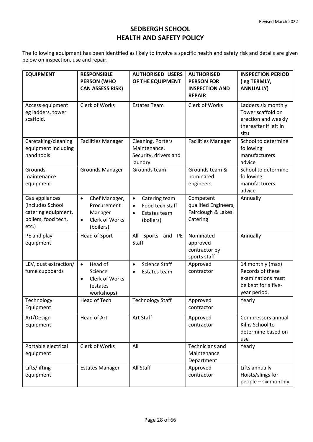The following equipment has been identified as likely to involve a specific health and safety risk and details are given below on inspection, use and repair.

| <b>EQUIPMENT</b>                                                                          | <b>RESPONSIBLE</b><br><b>PERSON (WHO</b><br><b>CAN ASSESS RISK)</b>                              | <b>AUTHORISED USERS</b><br>OF THE EQUIPMENT                                                          | <b>AUTHORISED</b><br><b>PERSON FOR</b><br><b>INSPECTION AND</b><br><b>REPAIR</b> | <b>INSPECTION PERIOD</b><br>(eg TERMLY,<br><b>ANNUALLY)</b>                                      |
|-------------------------------------------------------------------------------------------|--------------------------------------------------------------------------------------------------|------------------------------------------------------------------------------------------------------|----------------------------------------------------------------------------------|--------------------------------------------------------------------------------------------------|
| Access equipment<br>eg ladders, tower<br>scaffold.                                        | Clerk of Works                                                                                   | <b>Estates Team</b>                                                                                  | Clerk of Works                                                                   | Ladders six monthly<br>Tower scaffold on<br>erection and weekly<br>thereafter if left in<br>situ |
| Caretaking/cleaning<br>equipment including<br>hand tools                                  | <b>Facilities Manager</b>                                                                        | Cleaning, Porters<br>Maintenance,<br>Security, drivers and<br>laundry                                | <b>Facilities Manager</b>                                                        | School to determine<br>following<br>manufacturers<br>advice                                      |
| Grounds<br>maintenance<br>equipment                                                       | <b>Grounds Manager</b>                                                                           | Grounds team                                                                                         | Grounds team &<br>nominated<br>engineers                                         | School to determine<br>following<br>manufacturers<br>advice                                      |
| Gas appliances<br>(includes School<br>catering equipment,<br>boilers, food tech,<br>etc.) | Chef Manager,<br>$\bullet$<br>Procurement<br>Manager<br>Clerk of Works<br>$\bullet$<br>(boilers) | Catering team<br>$\bullet$<br>Food tech staff<br>$\bullet$<br>Estates team<br>$\bullet$<br>(boilers) | Competent<br>qualified Engineers,<br>Fairclough & Lakes<br>Catering              | Annually                                                                                         |
| PE and play<br>equipment                                                                  | Head of Sport                                                                                    | All Sports and<br>PE<br>Staff                                                                        | Nominated<br>approved<br>contractor by<br>sports staff                           | Annually                                                                                         |
| LEV, dust extraction/<br>fume cupboards                                                   | Head of<br>$\bullet$<br>Science<br>Clerk of Works<br>$\bullet$<br>(estates<br>workshops)         | <b>Science Staff</b><br>$\bullet$<br>Estates team<br>٠                                               | Approved<br>contractor                                                           | 14 monthly (max)<br>Records of these<br>examinations must<br>be kept for a five-<br>year period. |
| Technology<br>Equipment                                                                   | <b>Head of Tech</b>                                                                              | <b>Technology Staff</b>                                                                              | Approved<br>contractor                                                           | Yearly                                                                                           |
| Art/Design<br>Equipment                                                                   | Head of Art                                                                                      | Art Staff                                                                                            | Approved<br>contractor                                                           | Compressors annual<br>Kilns School to<br>determine based on<br>use                               |
| Portable electrical<br>equipment                                                          | Clerk of Works                                                                                   | All                                                                                                  | <b>Technicians and</b><br>Maintenance<br>Department                              | Yearly                                                                                           |
| Lifts/lifting<br>equipment                                                                | <b>Estates Manager</b>                                                                           | All Staff                                                                                            | Approved<br>contractor                                                           | Lifts annually<br>Hoists/slings for<br>people - six monthly                                      |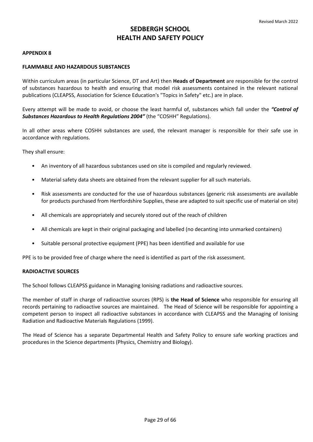# <span id="page-28-0"></span>**APPENDIX 8**

# **FLAMMABLE AND HAZARDOUS SUBSTANCES**

Within curriculum areas (in particular Science, DT and Art) then **Heads of Department** are responsible for the control of substances hazardous to health and ensuring that model risk assessments contained in the relevant national publications (CLEAPSS, Association for Science Education's "Topics in Safety" etc.) are in place.

Every attempt will be made to avoid, or choose the least harmful of, substances which fall under the *"Control of Substances Hazardous to Health Regulations 2004"* (the "COSHH" Regulations).

In all other areas where COSHH substances are used, the relevant manager is responsible for their safe use in accordance with regulations.

They shall ensure:

- An inventory of all hazardous substances used on site is compiled and regularly reviewed.
- Material safety data sheets are obtained from the relevant supplier for all such materials.
- Risk assessments are conducted for the use of hazardous substances (generic risk assessments are available for products purchased from Hertfordshire Supplies, these are adapted to suit specific use of material on site)
- All chemicals are appropriately and securely stored out of the reach of children
- All chemicals are kept in their original packaging and labelled (no decanting into unmarked containers)
- Suitable personal protective equipment (PPE) has been identified and available for use

PPE is to be provided free of charge where the need is identified as part of the risk assessment.

# **RADIOACTIVE SOURCES**

The School follows CLEAPSS guidance in Managing Ionising radiations and radioactive sources.

The member of staff in charge of radioactive sources (RPS) is **the Head of Science** who responsible for ensuring all records pertaining to radioactive sources are maintained. The Head of Science will be responsible for appointing a competent person to inspect all radioactive substances in accordance with CLEAPSS and the Managing of Ionising Radiation and Radioactive Materials Regulations (1999).

The Head of Science has a separate Departmental Health and Safety Policy to ensure safe working practices and procedures in the Science departments (Physics, Chemistry and Biology).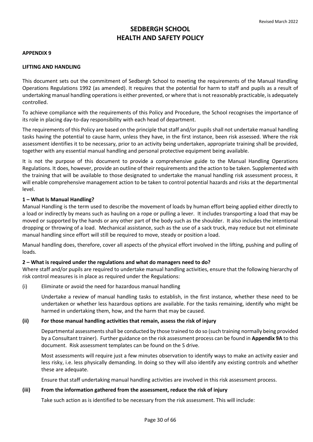### <span id="page-29-0"></span>**APPENDIX 9**

### **LIFTING AND HANDLING**

This document sets out the commitment of Sedbergh School to meeting the requirements of the Manual Handling Operations Regulations 1992 (as amended). It requires that the potential for harm to staff and pupils as a result of undertaking manual handling operations is either prevented, or where that is not reasonably practicable, is adequately controlled.

To achieve compliance with the requirements of this Policy and Procedure, the School recognises the importance of its role in placing day-to-day responsibility with each head of department.

The requirements of this Policy are based on the principle that staff and/or pupils shall not undertake manual handling tasks having the potential to cause harm, unless they have, in the first instance, been risk assessed. Where the risk assessment identifies it to be necessary, prior to an activity being undertaken, appropriate training shall be provided, together with any essential manual handling and personal protective equipment being available.

It is not the purpose of this document to provide a comprehensive guide to the Manual Handling Operations Regulations. It does, however, provide an outline of their requirements and the action to be taken. Supplemented with the training that will be available to those designated to undertake the manual handling risk assessment process, it will enable comprehensive management action to be taken to control potential hazards and risks at the departmental level.

### **1 – What Is Manual Handling?**

Manual Handling is the term used to describe the movement of loads by human effort being applied either directly to a load or indirectly by means such as hauling on a rope or pulling a lever. It includes transporting a load that may be moved or supported by the hands or any other part of the body such as the shoulder. It also includes the intentional dropping or throwing of a load. Mechanical assistance, such as the use of a sack truck, may reduce but not eliminate manual handling since effort will still be required to move, steady or position a load.

Manual handling does, therefore, cover all aspects of the physical effort involved in the lifting, pushing and pulling of loads.

# **2 – What is required under the regulations and what do managers need to do?**

Where staff and/or pupils are required to undertake manual handling activities, ensure that the following hierarchy of risk control measures is in place as required under the Regulations:

(i) Eliminate or avoid the need for hazardous manual handling

Undertake a review of manual handling tasks to establish, in the first instance, whether these need to be undertaken or whether less hazardous options are available. For the tasks remaining, identify who might be harmed in undertaking them, how, and the harm that may be caused.

#### **(ii) For those manual handling activities that remain, assess the risk of injury**

Departmental assessments shall be conducted by those trained to do so (such training normally being provided by a Consultant trainer). Further guidance on the risk assessment process can be found in **[Appendix 9A](#page-31-0)** to this document. Risk assessment templates can be found on the S drive.

Most assessments will require just a few minutes observation to identify ways to make an activity easier and less risky, i.e. less physically demanding. In doing so they will also identify any existing controls and whether these are adequate.

Ensure that staff undertaking manual handling activities are involved in this risk assessment process.

# **(iii) From the information gathered from the assessment, reduce the risk of injury**

Take such action as is identified to be necessary from the risk assessment. This will include: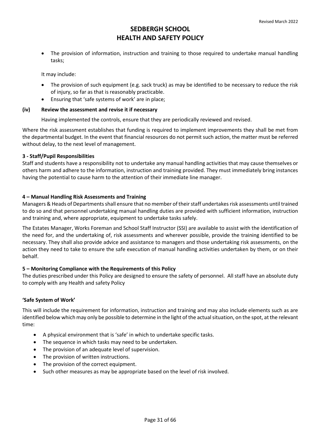• The provision of information, instruction and training to those required to undertake manual handling tasks;

It may include:

- The provision of such equipment (e.g. sack truck) as may be identified to be necessary to reduce the risk of injury, so far as that is reasonably practicable.
- Ensuring that 'safe systems of work' are in place;

# **(iv) Review the assessment and revise it if necessary**

Having implemented the controls, ensure that they are periodically reviewed and revised.

Where the risk assessment establishes that funding is required to implement improvements they shall be met from the departmental budget. In the event that financial resources do not permit such action, the matter must be referred without delay, to the next level of management.

# **3 - Staff/Pupil Responsibilities**

Staff and students have a responsibility not to undertake any manual handling activities that may cause themselves or others harm and adhere to the information, instruction and training provided. They must immediately bring instances having the potential to cause harm to the attention of their immediate line manager.

# **4 – Manual Handling Risk Assessments and Training**

Managers & Heads of Departments shall ensure that no member of their staff undertakes risk assessments until trained to do so and that personnel undertaking manual handling duties are provided with sufficient information, instruction and training and, where appropriate, equipment to undertake tasks safely.

The Estates Manager, Works Foreman and School Staff Instructor (SSI) are available to assist with the identification of the need for, and the undertaking of, risk assessments and wherever possible, provide the training identified to be necessary. They shall also provide advice and assistance to managers and those undertaking risk assessments, on the action they need to take to ensure the safe execution of manual handling activities undertaken by them, or on their behalf.

# **5 – Monitoring Compliance with the Requirements of this Policy**

The duties prescribed under this Policy are designed to ensure the safety of personnel. All staff have an absolute duty to comply with any Health and safety Policy

# **'Safe System of Work'**

This will include the requirement for information, instruction and training and may also include elements such as are identified below which may only be possible to determine in the light of the actual situation, on the spot, at the relevant time:

- A physical environment that is 'safe' in which to undertake specific tasks.
- The sequence in which tasks may need to be undertaken.
- The provision of an adequate level of supervision.
- The provision of written instructions.
- The provision of the correct equipment.
- Such other measures as may be appropriate based on the level of risk involved.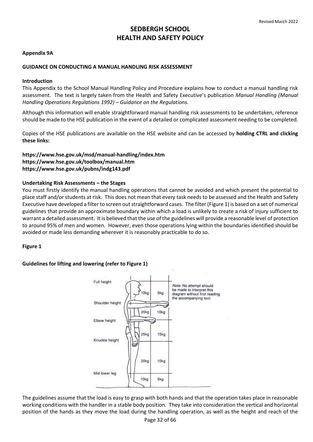# <span id="page-31-0"></span>**Appendix 9A**

# **GUIDANCE ON CONDUCTING A MANUAL HANDLING RISK ASSESSMENT**

# **Introduction**

This Appendix to the School Manual Handling Policy and Procedure explains how to conduct a manual handling risk assessment. The text is largely taken from the Health and Safety Executive's publication *Manual Handling (Manual Handling Operations Regulations 1992) – Guidance on the Regulations.*

Although this information will enable straightforward manual handling risk assessments to be undertaken, reference should be made to the HSE publication in the event of a detailed or complicated assessment needing to be completed.

Copies of the HSE publications are available on the HSE website and can be accessed by **holding CTRL and clicking these links:**

# **<https://www.hse.gov.uk/msd/manual-handling/index.htm> <https://www.hse.gov.uk/toolbox/manual.htm> <https://www.hse.gov.uk/pubns/indg143.pdf>**

# **Undertaking Risk Assessments – the Stages**

You must firstly identify the manual handling operations that cannot be avoided and which present the potential to place staff and/or students at risk. This does not mean that every task needs to be assessed and the Health and Safety Executive have developed a filter to screen out straightforward cases. The filter (Figure 1) is based on a set of numerical guidelines that provide an approximate boundary within which a load is unlikely to create a risk of injury sufficient to warrant a detailed assessment. It is believed that the use of the guidelines will provide a reasonable level of protection to around 95% of men and women. However, even those operations lying within the boundaries identified should be avoided or made less demanding wherever it is reasonably practicable to do so.

# **Figure 1**

# **Guidelines for lifting and lowering (refer to Figure 1)**



The guidelines assume that the load is easy to grasp with both hands and that the operation takes place in reasonable working conditions with the handler in a stable body position. They take into consideration the vertical and horizontal position of the hands as they move the load during the handling operation, as well as the height and reach of the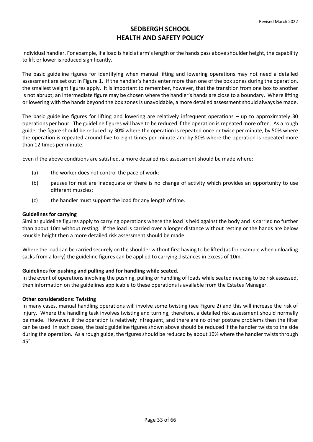individual handler. For example, if a load is held at arm's length or the hands pass above shoulder height, the capability to lift or lower is reduced significantly.

The basic guideline figures for identifying when manual lifting and lowering operations may not need a detailed assessment are set out in Figure 1. If the handler's hands enter more than one of the box zones during the operation, the smallest weight figures apply. It is important to remember, however, that the transition from one box to another is not abrupt; an intermediate figure may be chosen where the handler's hands are close to a boundary. Where lifting or lowering with the hands beyond the box zones is unavoidable, a more detailed assessment should always be made.

The basic guideline figures for lifting and lowering are relatively infrequent operations – up to approximately 30 operations per hour. The guideline figures will have to be reduced if the operation is repeated more often. As a rough guide, the figure should be reduced by 30% where the operation is repeated once or twice per minute, by 50% where the operation is repeated around five to eight times per minute and by 80% where the operation is repeated more than 12 times per minute.

Even if the above conditions are satisfied, a more detailed risk assessment should be made where:

- (a) the worker does not control the pace of work;
- (b) pauses for rest are inadequate or there is no change of activity which provides an opportunity to use different muscles;
- (c) the handler must support the load for any length of time.

# **Guidelines for carrying**

Similar guideline figures apply to carrying operations where the load is held against the body and is carried no further than about 10m without resting. If the load is carried over a longer distance without resting or the hands are below knuckle height then a more detailed risk assessment should be made.

Where the load can be carried securely on the shoulder without first having to be lifted (as for example when unloading sacks from a lorry) the guideline figures can be applied to carrying distances in excess of 10m.

# **Guidelines for pushing and pulling and for handling while seated.**

In the event of operations involving the pushing, pulling or handling of loads while seated needing to be risk assessed, then information on the guidelines applicable to these operations is available from the Estates Manager.

# **Other considerations: Twisting**

In many cases, manual handling operations will involve some twisting (see Figure 2) and this will increase the risk of injury. Where the handling task involves twisting and turning, therefore, a detailed risk assessment should normally be made. However, if the operation is relatively infrequent, and there are no other posture problems then the filter can be used. In such cases, the basic guideline figures shown above should be reduced if the handler twists to the side during the operation. As a rough guide, the figures should be reduced by about 10% where the handler twists through 45°.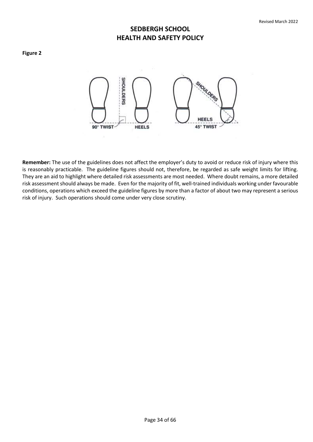#### **Figure 2**



**Remember:** The use of the guidelines does not affect the employer's duty to avoid or reduce risk of injury where this is reasonably practicable. The guideline figures should not, therefore, be regarded as safe weight limits for lifting. They are an aid to highlight where detailed risk assessments are most needed. Where doubt remains, a more detailed risk assessment should always be made. Even for the majority of fit, well-trained individuals working under favourable conditions, operations which exceed the guideline figures by more than a factor of about two may represent a serious risk of injury. Such operations should come under very close scrutiny.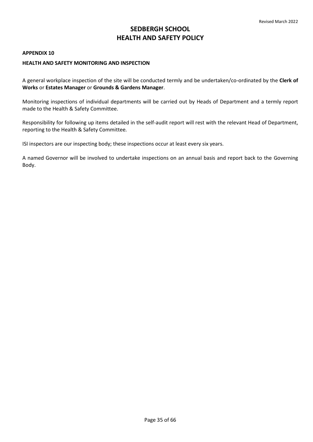#### <span id="page-34-0"></span>**APPENDIX 10**

# **HEALTH AND SAFETY MONITORING AND INSPECTION**

A general workplace inspection of the site will be conducted termly and be undertaken/co-ordinated by the **Clerk of Works** or **Estates Manager** or **Grounds & Gardens Manager**.

Monitoring inspections of individual departments will be carried out by Heads of Department and a termly report made to the Health & Safety Committee.

Responsibility for following up items detailed in the self-audit report will rest with the relevant Head of Department, reporting to the Health & Safety Committee*.*

ISI inspectors are our inspecting body; these inspections occur at least every six years.

A named Governor will be involved to undertake inspections on an annual basis and report back to the Governing Body.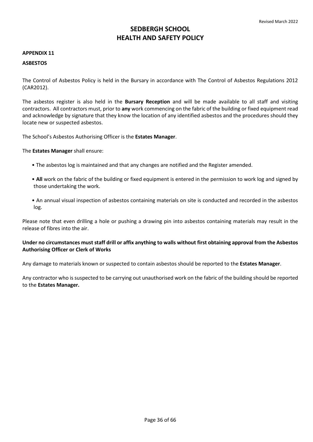#### <span id="page-35-0"></span>**APPENDIX 11**

# **ASBESTOS**

The Control of Asbestos Policy is held in the Bursary in accordance with The Control of Asbestos Regulations 2012 (CAR2012).

The asbestos register is also held in the **Bursary Reception** and will be made available to all staff and visiting contractors. All contractors must, prior to **any** work commencing on the fabric of the building or fixed equipment read and acknowledge by signature that they know the location of any identified asbestos and the procedures should they locate new or suspected asbestos.

The School's Asbestos Authorising Officer is the **Estates Manager**.

The **Estates Manager** shall ensure:

- The asbestos log is maintained and that any changes are notified and the Register amended.
- **All** work on the fabric of the building or fixed equipment is entered in the permission to work log and signed by those undertaking the work.
- An annual visual inspection of asbestos containing materials on site is conducted and recorded in the asbestos log.

Please note that even drilling a hole or pushing a drawing pin into asbestos containing materials may result in the release of fibres into the air.

# **Under no circumstances must staff drill or affix anything to walls without first obtaining approval from the Asbestos Authorising Officer or Clerk of Works**

Any damage to materials known or suspected to contain asbestos should be reported to the **Estates Manager**.

Any contractor who is suspected to be carrying out unauthorised work on the fabric of the building should be reported to the **Estates Manager.**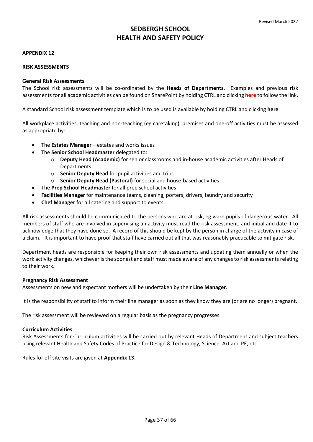## <span id="page-36-0"></span>**APPENDIX 12**

### **RISK ASSESSMENTS**

### **General Risk Assessments**

The School risk assessments will be co-ordinated by the **Heads of Departments**. Examples and previous risk assessments for all academic activities can be found on SharePoint by holding CTRL and clicking **[here](https://sedberghschool.sharepoint.com/sites/home/hands/HS%20Documents2/Forms/AllItems.aspx)** to follow the link.

A standard School risk assessment template which is to be used is available by holding CTRL and clicking **[here](https://sedberghschool.sharepoint.com/sites/home/hands/SiteAssets/SitePages/hands/Health%20and%20Safety%20Risk%20Assessment%20Format.docx)**.

All workplace activities, teaching and non-teaching (eg caretaking), premises and one-off activities must be assessed as appropriate by:

- The **Estates Manager** estates and works issues
- The **Senior School Headmaster** delegated to:
	- o **Deputy Head (Academic)** for senior classrooms and in-house academic activities after Heads of **Departments**
	- o **Senior Deputy Head** for pupil activities and trips
	- o **Senior Deputy Head (Pastoral)** for social and house-based activities
- The **Prep School Headmaster** for all prep school activities
- **Facilities Manager** for maintenance teams, cleaning, porters, drivers, laundry and security
- **Chef Manager** for all catering and support to events

All risk assessments should be communicated to the persons who are at risk, eg warn pupils of dangerous water. All members of staff who are involved in supervising an activity must read the risk assessment, and initial and date it to acknowledge that they have done so. A record of this should be kept by the person in charge of the activity in case of a claim. It is important to have proof that staff have carried out all that was reasonably practicable to mitigate risk.

Department heads are responsible for keeping their own risk assessments and updating them annually or when the work activity changes, whichever is the soonest and staff must made aware of any changes to risk assessments relating to their work.

# **Pregnancy Risk Assessment**

Assessments on new and expectant mothers will be undertaken by their **Line Manager**.

It is the responsibility of staff to inform their line manager as soon as they know they are (or are no longer) pregnant.

The risk assessment will be reviewed on a regular basis as the pregnancy progresses.

# **Curriculum Activities**

Risk Assessments for Curriculum activities will be carried out by relevant Heads of Department and subject teachers using relevant Health and Safety Codes of Practice for Design & Technology, Science, Art and PE, etc.

Rules for off site visits are given at **[Appendix 13](#page-37-0)**.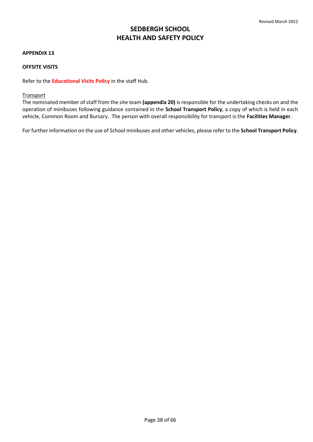### <span id="page-37-0"></span>**APPENDIX 13**

# **OFFSITE VISITS**

Refer to the **[Educational Visits Policy](https://sedberghschool.sharepoint.com/:w:/r/sites/home/_layouts/15/Doc.aspx?sourcedoc=%7B0675A79C-BCB5-498F-81D6-57BA1E3A8C74%7D&file=Educational%20Visits%20(Non%20EYFS).docx&action=default&mobileredirect=true)** in the staff Hub.

#### Transport

The nominated member of staff from the site team **[\(appendix 20\)](#page-48-0)** is responsible for the undertaking checks on and the operation of minibuses following guidance contained in the **[School Transport Policy](https://sedberghschool.sharepoint.com/:w:/r/sites/home/_layouts/15/Doc.aspx?sourcedoc=%7B78416821-5272-49D4-AF5E-66ACE72D07B1%7D&file=Transport%20Policy.docx&action=default&mobileredirect=true)**, a copy of which is held in each vehicle, Common Room and Bursary. The person with overall responsibility for transport is the **Facilities Manager**.

For further information on the use of School minibuses and other vehicles, please refer to the **School Transport Policy**.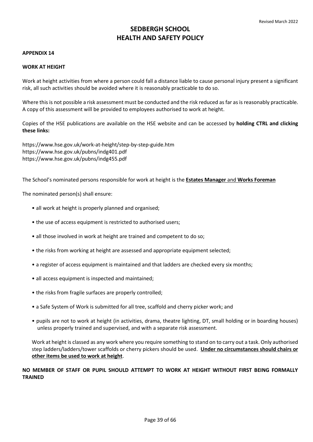#### <span id="page-38-0"></span>**APPENDIX 14**

### **WORK AT HEIGHT**

Work at height activities from where a person could fall a distance liable to cause personal injury present a significant risk, all such activities should be avoided where it is reasonably practicable to do so.

Where this is not possible a risk assessment must be conducted and the risk reduced as far as is reasonably practicable. A copy of this assessment will be provided to employees authorised to work at height.

Copies of the HSE publications are available on the HSE website and can be accessed by **holding CTRL and clicking these links:**

[https://www.hse.gov.uk/work-at-height/step-by-step-guide.htm](https://eur02.safelinks.protection.outlook.com/?url=https%3A%2F%2Fwww.hse.gov.uk%2Fwork-at-height%2Fstep-by-step-guide.htm&data=04%7C01%7Cjayne.stirzaker%40sedberghschool.org%7Cd366ee5bd40f4eb0ab1f08d96190f1c9%7C658fa1e1f3bd447c9a8da43b11e8d1e0%7C0%7C0%7C637648097414187770%7CUnknown%7CTWFpbGZsb3d8eyJWIjoiMC4wLjAwMDAiLCJQIjoiV2luMzIiLCJBTiI6Ik1haWwiLCJXVCI6Mn0%3D%7C1000&sdata=DDjm0Ugp0S3R0XwyJNuwNQvNynRRKyHNQW1%2BB7XH23o%3D&reserved=0)  [https://www.hse.gov.uk/pubns/indg401.pdf](https://eur02.safelinks.protection.outlook.com/?url=https%3A%2F%2Fwww.hse.gov.uk%2Fpubns%2Findg401.pdf&data=04%7C01%7Cjayne.stirzaker%40sedberghschool.org%7Cd366ee5bd40f4eb0ab1f08d96190f1c9%7C658fa1e1f3bd447c9a8da43b11e8d1e0%7C0%7C0%7C637648097414197725%7CUnknown%7CTWFpbGZsb3d8eyJWIjoiMC4wLjAwMDAiLCJQIjoiV2luMzIiLCJBTiI6Ik1haWwiLCJXVCI6Mn0%3D%7C1000&sdata=bfjY1KNc%2FbIm2G85MZx13PfbTk69aUDEeceApINiNHk%3D&reserved=0) [https://www.hse.gov.uk/pubns/indg455.pdf](https://eur02.safelinks.protection.outlook.com/?url=https%3A%2F%2Fwww.hse.gov.uk%2Fpubns%2Findg455.pdf&data=04%7C01%7Cjayne.stirzaker%40sedberghschool.org%7Cd366ee5bd40f4eb0ab1f08d96190f1c9%7C658fa1e1f3bd447c9a8da43b11e8d1e0%7C0%7C0%7C637648097414197725%7CUnknown%7CTWFpbGZsb3d8eyJWIjoiMC4wLjAwMDAiLCJQIjoiV2luMzIiLCJBTiI6Ik1haWwiLCJXVCI6Mn0%3D%7C1000&sdata=aG4RJwjvg5IS0lbNS5ePqQNNdDNRzCXErz3l1D8m0H0%3D&reserved=0) 

The School's nominated persons responsible for work at height is the **Estates Manager** and **Works Foreman**

The nominated person(s) shall ensure:

- all work at height is properly planned and organised;
- the use of access equipment is restricted to authorised users;
- all those involved in work at height are trained and competent to do so;
- the risks from working at height are assessed and appropriate equipment selected;
- a register of access equipment is maintained and that ladders are checked every six months;
- all access equipment is inspected and maintained;
- the risks from fragile surfaces are properly controlled;
- a Safe System of Work is submitted for all tree, scaffold and cherry picker work; and
- pupils are not to work at height (in activities, drama, theatre lighting, DT, small holding or in boarding houses) unless properly trained and supervised, and with a separate risk assessment.

Work at height is classed as any work where you require something to stand on to carry out a task. Only authorised step ladders/ladders/tower scaffolds or cherry pickers should be used. **Under no circumstances should chairs or other items be used to work at height**.

**NO MEMBER OF STAFF OR PUPIL SHOULD ATTEMPT TO WORK AT HEIGHT WITHOUT FIRST BEING FORMALLY TRAINED**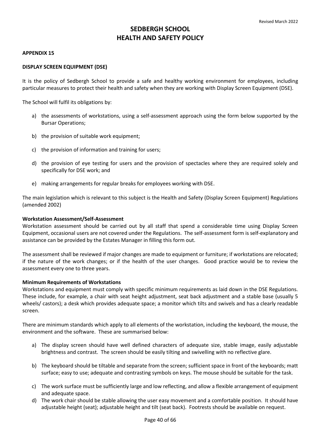### <span id="page-39-0"></span>**APPENDIX 15**

# **DISPLAY SCREEN EQUIPMENT (DSE)**

It is the policy of Sedbergh School to provide a safe and healthy working environment for employees, including particular measures to protect their health and safety when they are working with Display Screen Equipment (DSE).

The School will fulfil its obligations by:

- a) the assessments of workstations, using a self-assessment approach using the form below supported by the Bursar Operations;
- b) the provision of suitable work equipment;
- c) the provision of information and training for users;
- d) the provision of eye testing for users and the provision of spectacles where they are required solely and specifically for DSE work; and
- e) making arrangements for regular breaks for employees working with DSE.

The main legislation which is relevant to this subject is the Health and Safety (Display Screen Equipment) Regulations (amended 2002)

#### **Workstation Assessment/Self-Assessment**

Workstation assessment should be carried out by all staff that spend a considerable time using Display Screen Equipment, occasional users are not covered under the Regulations. The self-assessment form is self-explanatory and assistance can be provided by the Estates Manager in filling this form out.

The assessment shall be reviewed if major changes are made to equipment or furniture; if workstations are relocated; if the nature of the work changes; or if the health of the user changes. Good practice would be to review the assessment every one to three years.

#### **Minimum Requirements of Workstations**

Workstations and equipment must comply with specific minimum requirements as laid down in the DSE Regulations. These include, for example, a chair with seat height adjustment, seat back adjustment and a stable base (usually 5 wheels/ castors); a desk which provides adequate space; a monitor which tilts and swivels and has a clearly readable screen.

There are minimum standards which apply to all elements of the workstation, including the keyboard, the mouse, the environment and the software. These are summarised below:

- a) The display screen should have well defined characters of adequate size, stable image, easily adjustable brightness and contrast. The screen should be easily tilting and swivelling with no reflective glare.
- b) The keyboard should be tiltable and separate from the screen; sufficient space in front of the keyboards; matt surface; easy to use; adequate and contrasting symbols on keys. The mouse should be suitable for the task.
- c) The work surface must be sufficiently large and low reflecting, and allow a flexible arrangement of equipment and adequate space.
- d) The work chair should be stable allowing the user easy movement and a comfortable position. It should have adjustable height (seat); adjustable height and tilt (seat back). Footrests should be available on request.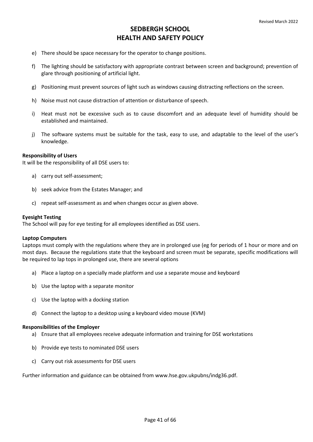- e) There should be space necessary for the operator to change positions.
- f) The lighting should be satisfactory with appropriate contrast between screen and background; prevention of glare through positioning of artificial light.
- g) Positioning must prevent sources of light such as windows causing distracting reflections on the screen.
- h) Noise must not cause distraction of attention or disturbance of speech.
- i) Heat must not be excessive such as to cause discomfort and an adequate level of humidity should be established and maintained.
- j) The software systems must be suitable for the task, easy to use, and adaptable to the level of the user's knowledge.

#### **Responsibility of Users**

It will be the responsibility of all DSE users to:

- a) carry out self-assessment;
- b) seek advice from the Estates Manager; and
- c) repeat self-assessment as and when changes occur as given above.

#### **Eyesight Testing**

The School will pay for eye testing for all employees identified as DSE users.

#### **Laptop Computers**

Laptops must comply with the regulations where they are in prolonged use (eg for periods of 1 hour or more and on most days. Because the regulations state that the keyboard and screen must be separate, specific modifications will be required to lap tops in prolonged use, there are several options

- a) Place a laptop on a specially made platform and use a separate mouse and keyboard
- b) Use the laptop with a separate monitor
- c) Use the laptop with a docking station
- d) Connect the laptop to a desktop using a keyboard video mouse (KVM)

#### **Responsibilities of the Employer**

- a) Ensure that all employees receive adequate information and training for DSE workstations
- b) Provide eye tests to nominated DSE users
- c) Carry out risk assessments for DSE users

Further information and guidance can be obtained from [www.hse.gov.ukpubns/indg36.pdf.](http://www.hse.gov.ukpubns/indg36.pdf)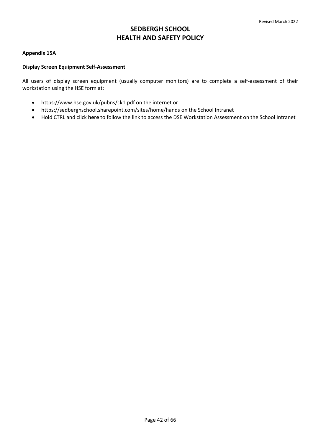# **Appendix 15A**

# **Display Screen Equipment Self-Assessment**

All users of display screen equipment (usually computer monitors) are to complete a self-assessment of their workstation using the HSE form at:

- [https://www.hse.gov.uk/pubns/ck1.pdf o](https://www.hse.gov.uk/pubns/ck1.pdf)n the internet or
- https://sedberghschool.sharepoint.com/sites/home/hands on the School Intranet
- Hold CTRL and click **[here](https://sedberghschool.sharepoint.com/teams/HealthSafetyCommittee/Shared%20Documents/General/DSE%20Workstation%20Checklist/2020%2002%20-%20DSE%20Workstation%20Checklist%20.pdf)** to follow the link to access the DSE Workstation Assessment on the School Intranet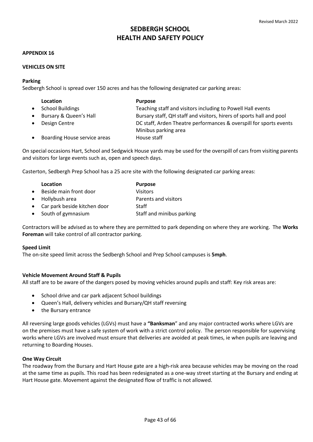### **APPENDIX 16**

# **VEHICLES ON SITE**

### **Parking**

Sedbergh School is spread over 150 acres and has the following designated car parking areas:

| <b>Location</b>              | <b>Purpose</b>                                                                             |
|------------------------------|--------------------------------------------------------------------------------------------|
| <b>School Buildings</b>      | Teaching staff and visitors including to Powell Hall events                                |
| Bursary & Queen's Hall       | Bursary staff, QH staff and visitors, hirers of sports hall and pool                       |
| Design Centre                | DC staff, Arden Theatre performances & overspill for sports events<br>Minibus parking area |
| Boarding House service areas | House staff                                                                                |

On special occasions Hart, School and Sedgwick House yards may be used for the overspill of cars from visiting parents and visitors for large events such as, open and speech days.

Casterton, Sedbergh Prep School has a 25 acre site with the following designated car parking areas:

|           | Location                       | <b>Purpose</b>            |
|-----------|--------------------------------|---------------------------|
| $\bullet$ | Beside main front door         | <b>Visitors</b>           |
|           | • Hollybush area               | Parents and visitors      |
|           | • Car park beside kitchen door | Staff                     |
|           | • South of gymnasium           | Staff and minibus parking |

Contractors will be advised as to where they are permitted to park depending on where they are working. The **Works Foreman** will take control of all contractor parking.

#### **Speed Limit**

The on-site speed limit across the Sedbergh School and Prep School campuses is **5mph**.

# **Vehicle Movement Around Staff & Pupils**

All staff are to be aware of the dangers posed by moving vehicles around pupils and staff: Key risk areas are:

- School drive and car park adjacent School buildings
- Queen's Hall, delivery vehicles and Bursary/QH staff reversing
- the Bursary entrance

All reversing large goods vehicles (LGVs) must have a **"Banksman**" and any major contracted works where LGVs are on the premises must have a safe system of work with a strict control policy. The person responsible for supervising works where LGVs are involved must ensure that deliveries are avoided at peak times, ie when pupils are leaving and returning to Boarding Houses.

# **One Way Circuit**

The roadway from the Bursary and Hart House gate are a high-risk area because vehicles may be moving on the road at the same time as pupils. This road has been redesignated as a one-way street starting at the Bursary and ending at Hart House gate. Movement against the designated flow of traffic is not allowed.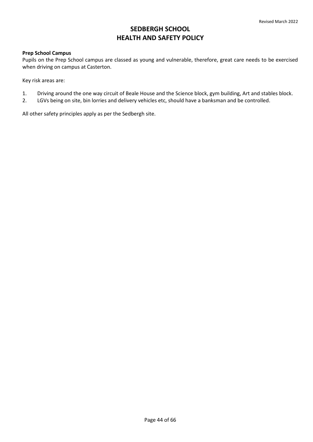# **Prep School Campus**

Pupils on the Prep School campus are classed as young and vulnerable, therefore, great care needs to be exercised when driving on campus at Casterton.

Key risk areas are:

- 1. Driving around the one way circuit of Beale House and the Science block, gym building, Art and stables block.
- 2. LGVs being on site, bin lorries and delivery vehicles etc, should have a banksman and be controlled.

All other safety principles apply as per the Sedbergh site.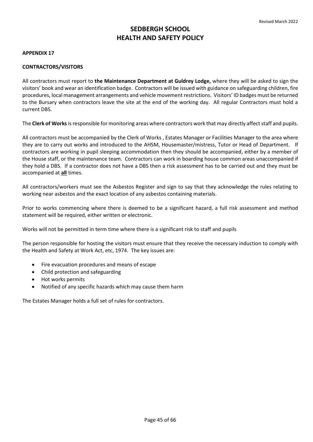# **APPENDIX 17**

# **CONTRACTORS/VISITORS**

All contractors must report to **the Maintenance Department at Guldrey Lodge,** where they will be asked to sign the visitors' book and wear an identification badge. Contractors will be issued with guidance on safeguarding children, fire procedures, local management arrangements and vehicle movement restrictions. Visitors' ID badges must be returned to the Bursary when contractors leave the site at the end of the working day. All regular Contractors must hold a current DBS.

The **Clerk of Works** is responsible for monitoring areas where contractors work that may directly affect staff and pupils.

All contractors must be accompanied by the Clerk of Works , Estates Manager or Facilities Manager to the area where they are to carry out works and introduced to the AHSM, Housemaster/mistress, Tutor or Head of Department. If contractors are working in pupil sleeping accommodation then they should be accompanied, either by a member of the House staff, or the maintenance team. Contractors can work in boarding house common areas unaccompanied if they hold a DBS. If a contractor does not have a DBS then a risk assessment has to be carried out and they must be accompanied at **all** times.

All contractors/workers must see the Asbestos Register and sign to say that they acknowledge the rules relating to working near asbestos and the exact location of any asbestos containing materials.

Prior to works commencing where there is deemed to be a significant hazard, a full risk assessment and method statement will be required, either written or electronic.

Works will not be permitted in term time where there is a significant risk to staff and pupils

The person responsible for hosting the visitors must ensure that they receive the necessary induction to comply with the Health and Safety at Work Act, etc, 1974. The key issues are:

- Fire evacuation procedures and means of escape
- Child protection and safeguarding
- Hot works permits
- Notified of any specific hazards which may cause them harm

The Estates Manager holds a full set of rules for contractors.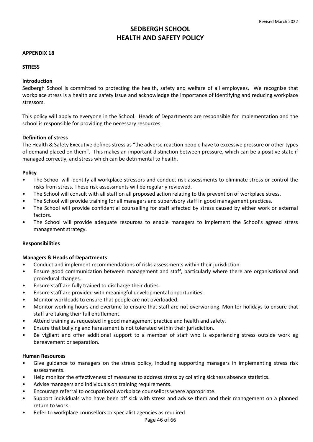### **APPENDIX 18**

# **STRESS**

# **Introduction**

Sedbergh School is committed to protecting the health, safety and welfare of all employees. We recognise that workplace stress is a health and safety issue and acknowledge the importance of identifying and reducing workplace stressors.

This policy will apply to everyone in the School. Heads of Departments are responsible for implementation and the school is responsible for providing the necessary resources.

# **Definition of stress**

The Health & Safety Executive defines stress as "the adverse reaction people have to excessive pressure or other types of demand placed on them". This makes an important distinction between pressure, which can be a positive state if managed correctly, and stress which can be detrimental to health.

### **Policy**

- The School will identify all workplace stressors and conduct risk assessments to eliminate stress or control the risks from stress. These risk assessments will be regularly reviewed.
- The School will consult with all staff on all proposed action relating to the prevention of workplace stress.
- The School will provide training for all managers and supervisory staff in good management practices.
- The School will provide confidential counselling for staff affected by stress caused by either work or external factors.
- The School will provide adequate resources to enable managers to implement the School's agreed stress management strategy.

# **Responsibilities**

#### **Managers & Heads of Departments**

- Conduct and implement recommendations of risks assessments within their jurisdiction.
- Ensure good communication between management and staff, particularly where there are organisational and procedural changes.
- Ensure staff are fully trained to discharge their duties.
- Ensure staff are provided with meaningful developmental opportunities.
- Monitor workloads to ensure that people are not overloaded.
- Monitor working hours and overtime to ensure that staff are not overworking. Monitor holidays to ensure that staff are taking their full entitlement.
- Attend training as requested in good management practice and health and safety.
- Ensure that bullying and harassment is not tolerated within their jurisdiction.
- Be vigilant and offer additional support to a member of staff who is experiencing stress outside work eg bereavement or separation.

#### **Human Resources**

- Give guidance to managers on the stress policy, including supporting managers in implementing stress risk assessments.
- Help monitor the effectiveness of measures to address stress by collating sickness absence statistics.
- Advise managers and individuals on training requirements.
- Encourage referral to occupational workplace counsellors where appropriate.
- Support individuals who have been off sick with stress and advise them and their management on a planned return to work.
- Refer to workplace counsellors or specialist agencies as required.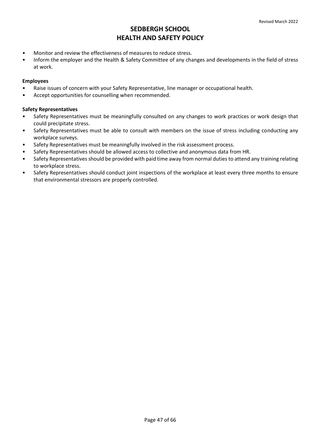- Monitor and review the effectiveness of measures to reduce stress.
- Inform the employer and the Health & Safety Committee of any changes and developments in the field of stress at work.

# **Employees**

- Raise issues of concern with your Safety Representative, line manager or occupational health.
- Accept opportunities for counselling when recommended.

# **Safety Representatives**

- Safety Representatives must be meaningfully consulted on any changes to work practices or work design that could precipitate stress.
- Safety Representatives must be able to consult with members on the issue of stress including conducting any workplace surveys.
- Safety Representatives must be meaningfully involved in the risk assessment process.
- Safety Representatives should be allowed access to collective and anonymous data from HR.
- Safety Representatives should be provided with paid time away from normal duties to attend any training relating to workplace stress.
- Safety Representatives should conduct joint inspections of the workplace at least every three months to ensure that environmental stressors are properly controlled.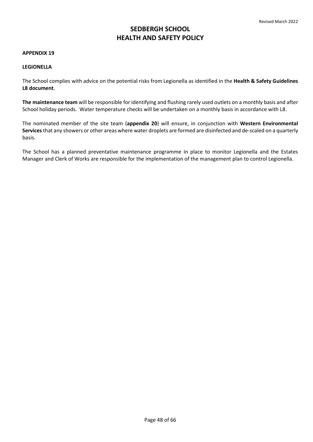#### **APPENDIX 19**

### **LEGIONELLA**

The School complies with advice on the potential risks from Legionella as identified in the **Health & Safety Guidelines L8 document**.

**The maintenance team** will be responsible for identifying and flushing rarely used outlets on a monthly basis and after School holiday periods. Water temperature checks will be undertaken on a monthly basis in accordance with L8.

The nominated member of the site team (**[appendix 20](#page-48-0)**) will ensure, in conjunction with **Western Environmental Services** that any showers or other areas where water droplets are formed are disinfected and de-scaled on a quarterly basis.

The School has a planned preventative maintenance programme in place to monitor Legionella and the Estates Manager and Clerk of Works are responsible for the implementation of the management plan to control Legionella.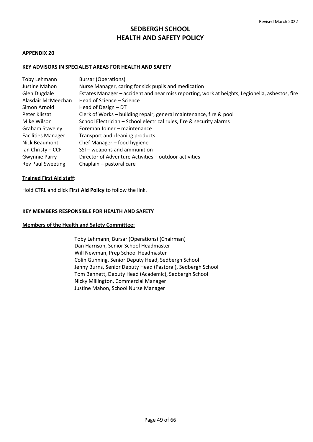### <span id="page-48-0"></span>**APPENDIX 20**

# **KEY ADVISORS IN SPECIALIST AREAS FOR HEALTH AND SAFETY**

| Justine Mahon<br>Nurse Manager, caring for sick pupils and medication                                           |  |
|-----------------------------------------------------------------------------------------------------------------|--|
|                                                                                                                 |  |
| Estates Manager - accident and near miss reporting, work at heights, Legionella, asbestos, fire<br>Glen Dugdale |  |
| Alasdair McMeechan<br>Head of Science – Science                                                                 |  |
| Simon Arnold<br>Head of Design - DT                                                                             |  |
| Clerk of Works - building repair, general maintenance, fire & pool<br>Peter Kliszat                             |  |
| School Electrician - School electrical rules, fire & security alarms<br>Mike Wilson                             |  |
| <b>Graham Staveley</b><br>Foreman Joiner - maintenance                                                          |  |
| <b>Facilities Manager</b><br>Transport and cleaning products                                                    |  |
| Chef Manager - food hygiene<br>Nick Beaumont                                                                    |  |
| SSI - weapons and ammunition<br>Ian Christy – CCF                                                               |  |
| Gwynnie Parry<br>Director of Adventure Activities - outdoor activities                                          |  |
| <b>Rev Paul Sweeting</b><br>Chaplain - pastoral care                                                            |  |

# **Trained First Aid staff:**

Hold CTRL and click **[First Aid Policy](https://sedberghschool.sharepoint.com/sites/home/School%20Policies/Forms/AllItems.aspx?id=%2Fsites%2Fhome%2FSchool%20Policies%2FISI%20Policies%2FFirst%20Aid%20Policy%2Epdf&parent=%2Fsites%2Fhome%2FSchool%20Policies%2FISI%20Policies)** to follow the link.

### **KEY MEMBERS RESPONSIBLE FOR HEALTH AND SAFETY**

# **Members of the Health and Safety Committee:**

 Toby Lehmann, Bursar (Operations) (Chairman) Dan Harrison, Senior School Headmaster Will Newman, Prep School Headmaster Colin Gunning, Senior Deputy Head, Sedbergh School Jenny Burns, Senior Deputy Head (Pastoral), Sedbergh School Tom Bennett, Deputy Head (Academic), Sedbergh School Nicky Millington, Commercial Manager Justine Mahon, School Nurse Manager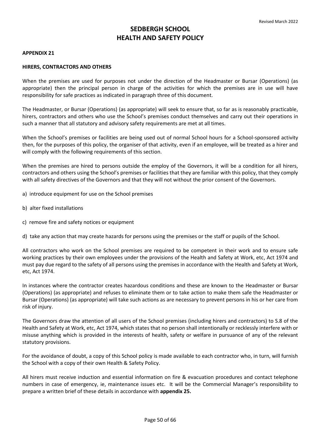#### **APPENDIX 21**

### **HIRERS, CONTRACTORS AND OTHERS**

When the premises are used for purposes not under the direction of the Headmaster or Bursar (Operations) (as appropriate) then the principal person in charge of the activities for which the premises are in use will have responsibility for safe practices as indicated in paragraph three of this document.

The Headmaster, or Bursar (Operations) (as appropriate) will seek to ensure that, so far as is reasonably practicable, hirers, contractors and others who use the School's premises conduct themselves and carry out their operations in such a manner that all statutory and advisory safety requirements are met at all times.

When the School's premises or facilities are being used out of normal School hours for a School-sponsored activity then, for the purposes of this policy, the organiser of that activity, even if an employee, will be treated as a hirer and will comply with the following requirements of this section.

When the premises are hired to persons outside the employ of the Governors, it will be a condition for all hirers, contractors and others using the School's premises or facilities that they are familiar with this policy, that they comply with all safety directives of the Governors and that they will not without the prior consent of the Governors.

- a) introduce equipment for use on the School premises
- b) alter fixed installations
- c) remove fire and safety notices or equipment

d) take any action that may create hazards for persons using the premises or the staff or pupils of the School.

All contractors who work on the School premises are required to be competent in their work and to ensure safe working practices by their own employees under the provisions of the Health and Safety at Work, etc, Act 1974 and must pay due regard to the safety of all persons using the premises in accordance with the Health and Safety at Work, etc, Act 1974.

In instances where the contractor creates hazardous conditions and these are known to the Headmaster or Bursar (Operations) (as appropriate) and refuses to eliminate them or to take action to make them safe the Headmaster or Bursar (Operations) (as appropriate) will take such actions as are necessary to prevent persons in his or her care from risk of injury.

The Governors draw the attention of all users of the School premises (including hirers and contractors) to S.8 of the Health and Safety at Work, etc, Act 1974, which states that no person shall intentionally or recklessly interfere with or misuse anything which is provided in the interests of health, safety or welfare in pursuance of any of the relevant statutory provisions.

For the avoidance of doubt, a copy of this School policy is made available to each contractor who, in turn, will furnish the School with a copy of their own Health & Safety Policy.

All hirers must receive induction and essential information on fire & evacuation procedures and contact telephone numbers in case of emergency, ie, maintenance issues etc. It will be the Commercial Manager's responsibility to prepare a written brief of these details in accordance with **[appendix 25.](#page-55-0)**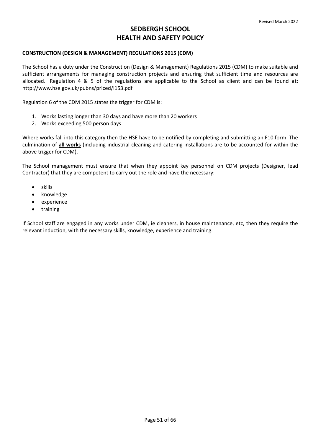# **CONSTRUCTION (DESIGN & MANAGEMENT) REGULATIONS 2015 (CDM)**

The School has a duty under the Construction (Design & Management) Regulations 2015 (CDM) to make suitable and sufficient arrangements for managing construction projects and ensuring that sufficient time and resources are allocated. Regulation 4 & 5 of the regulations are applicable to the School as client and can be found at: <http://www.hse.gov.uk/pubns/priced/l153.pdf>

Regulation 6 of the CDM 2015 states the trigger for CDM is:

- 1. Works lasting longer than 30 days and have more than 20 workers
- 2. Works exceeding 500 person days

Where works fall into this category then the HSE have to be notified by completing and submitting an F10 form. The culmination of **all works** (including industrial cleaning and catering installations are to be accounted for within the above trigger for CDM).

The School management must ensure that when they appoint key personnel on CDM projects (Designer, lead Contractor) that they are competent to carry out the role and have the necessary:

- skills
- knowledge
- experience
- training

If School staff are engaged in any works under CDM, ie cleaners, in house maintenance, etc, then they require the relevant induction, with the necessary skills, knowledge, experience and training.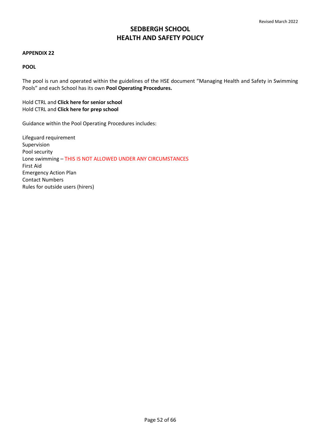### **APPENDIX 22**

# **POOL**

The pool is run and operated within the guidelines of the HSE document "Managing Health and Safety in Swimming Pools" and each School has its own **Pool Operating Procedures.** 

Hold CTRL and **[Click here for senior school](https://sedberghschool.sharepoint.com/:w:/r/sites/home/_layouts/15/Doc.aspx?sourcedoc=%7B7B7BD3DC-B598-411B-9507-0C3263861079%7D&file=Pool%20Safety%20Operating%20Procedures%20Sept%20%2718.docx&action=default&mobileredirect=true)**  Hold CTRL and **[Click here for prep school](https://sedberghschool.sharepoint.com/:w:/r/sites/home/School%20Policies/Prep%20School%20Specific/Prep%20School%20Policies/CSPS%20Pool%20SOPs%202021-04.docx?d=w29da22a581874db599b22535decfc235&csf=1&web=1&e=sL9Spz)**

Guidance within the Pool Operating Procedures includes:

Lifeguard requirement Supervision Pool security Lone swimming – THIS IS NOT ALLOWED UNDER ANY CIRCUMSTANCES First Aid Emergency Action Plan Contact Numbers Rules for outside users (hirers)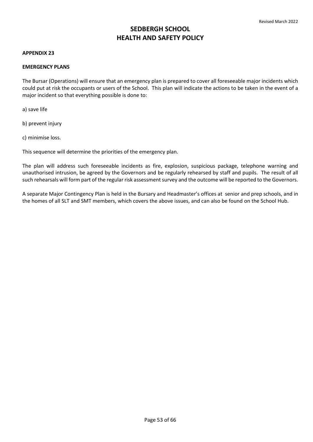### **APPENDIX 23**

### **EMERGENCY PLANS**

The Bursar (Operations) will ensure that an emergency plan is prepared to cover all foreseeable major incidents which could put at risk the occupants or users of the School. This plan will indicate the actions to be taken in the event of a major incident so that everything possible is done to:

a) save life

b) prevent injury

c) minimise loss.

This sequence will determine the priorities of the emergency plan.

The plan will address such foreseeable incidents as fire, explosion, suspicious package, telephone warning and unauthorised intrusion, be agreed by the Governors and be regularly rehearsed by staff and pupils. The result of all such rehearsals will form part of the regular risk assessment survey and the outcome will be reported to the Governors.

A separate Major Contingency Plan is held in the Bursary and Headmaster's offices at senior and prep schools, and in the homes of all SLT and SMT members, which covers the above issues, and can also be found on the School Hub.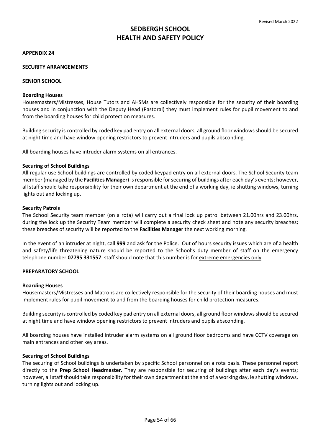#### **APPENDIX 24**

### **SECURITY ARRANGEMENTS**

### **SENIOR SCHOOL**

#### **Boarding Houses**

Housemasters/Mistresses, House Tutors and AHSMs are collectively responsible for the security of their boarding houses and in conjunction with the Deputy Head (Pastoral) they must implement rules for pupil movement to and from the boarding houses for child protection measures.

Building security is controlled by coded key pad entry on all external doors, all ground floor windows should be secured at night time and have window opening restrictors to prevent intruders and pupils absconding.

All boarding houses have intruder alarm systems on all entrances.

### **Securing of School Buildings**

All regular use School buildings are controlled by coded keypad entry on all external doors. The School Security team member (managed by the **Facilities Manager**) is responsible for securing of buildings after each day's events; however, all staff should take responsibility for their own department at the end of a working day, ie shutting windows, turning lights out and locking up.

### **Security Patrols**

The School Security team member (on a rota) will carry out a final lock up patrol between 21.00hrs and 23.00hrs, during the lock up the Security Team member will complete a security check sheet and note any security breaches; these breaches of security will be reported to the **Facilities Manager** the next working morning.

In the event of an intruder at night, call **999** and ask for the Police. Out of hours security issues which are of a health and safety/life threatening nature should be reported to the School's duty member of staff on the emergency telephone number **07795 331557**: staff should note that this number is for extreme emergencies only.

#### **PREPARATORY SCHOOL**

#### **Boarding Houses**

Housemasters/Mistresses and Matrons are collectively responsible for the security of their boarding houses and must implement rules for pupil movement to and from the boarding houses for child protection measures.

Building security is controlled by coded key pad entry on all external doors, all ground floor windows should be secured at night time and have window opening restrictors to prevent intruders and pupils absconding.

All boarding houses have installed intruder alarm systems on all ground floor bedrooms and have CCTV coverage on main entrances and other key areas.

#### **Securing of School Buildings**

The securing of School buildings is undertaken by specific School personnel on a rota basis. These personnel report directly to the **Prep School Headmaster**. They are responsible for securing of buildings after each day's events; however, all staff should take responsibility for their own department at the end of a working day, ie shutting windows, turning lights out and locking up.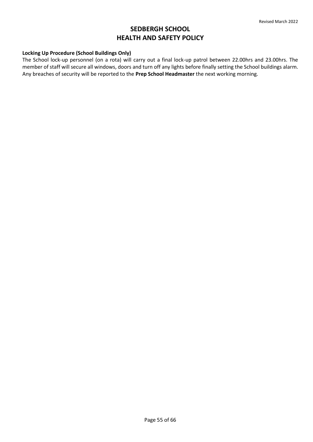# **Locking Up Procedure (School Buildings Only)**

The School lock-up personnel (on a rota) will carry out a final lock-up patrol between 22.00hrs and 23.00hrs. The member of staff will secure all windows, doors and turn off any lights before finally setting the School buildings alarm. Any breaches of security will be reported to the **Prep School Headmaster** the next working morning.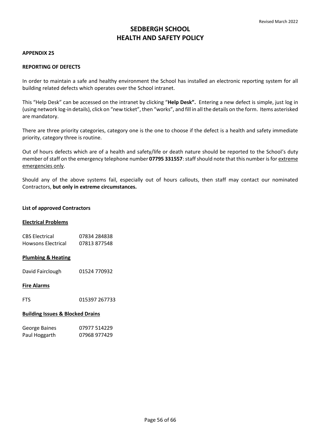#### <span id="page-55-0"></span>**APPENDIX 25**

#### **REPORTING OF DEFECTS**

In order to maintain a safe and healthy environment the School has installed an electronic reporting system for all building related defects which operates over the School intranet.

This "Help Desk" can be accessed on the intranet by clicking "**Help Desk".** Entering a new defect is simple, just log in (using network log-in details), click on "new ticket", then "works", and fill in all the details on the form. Items asterisked are mandatory.

There are three priority categories, category one is the one to choose if the defect is a health and safety immediate priority, category three is routine.

Out of hours defects which are of a health and safety/life or death nature should be reported to the School's duty member of staff on the emergency telephone number **07795 331557**: staff should note that this number is for extreme emergencies only.

Should any of the above systems fail, especially out of hours callouts, then staff may contact our nominated Contractors, **but only in extreme circumstances.** 

#### **List of approved Contractors**

#### **Electrical Problems**

| <b>CBS Electrical</b> | 07834 284838 |
|-----------------------|--------------|
| Howsons Electrical    | 07813877548  |

#### **Plumbing & Heating**

David Fairclough 01524 770932

#### **Fire Alarms**

FTS 015397 267733

#### **Building Issues & Blocked Drains**

| George Baines | 07977 514229 |
|---------------|--------------|
| Paul Hoggarth | 07968 977429 |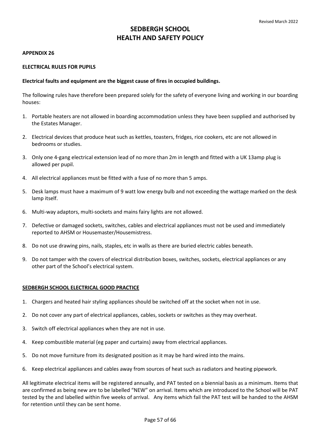### <span id="page-56-0"></span>**APPENDIX 26**

# **ELECTRICAL RULES FOR PUPILS**

# **Electrical faults and equipment are the biggest cause of fires in occupied buildings.**

The following rules have therefore been prepared solely for the safety of everyone living and working in our boarding houses:

- 1. Portable heaters are not allowed in boarding accommodation unless they have been supplied and authorised by the Estates Manager.
- 2. Electrical devices that produce heat such as kettles, toasters, fridges, rice cookers, etc are not allowed in bedrooms or studies.
- 3. Only one 4-gang electrical extension lead of no more than 2m in length and fitted with a UK 13amp plug is allowed per pupil.
- 4. All electrical appliances must be fitted with a fuse of no more than 5 amps.
- 5. Desk lamps must have a maximum of 9 watt low energy bulb and not exceeding the wattage marked on the desk lamp itself.
- 6. Multi-way adaptors, multi-sockets and mains fairy lights are not allowed.
- 7. Defective or damaged sockets, switches, cables and electrical appliances must not be used and immediately reported to AHSM or Housemaster/Housemistress.
- 8. Do not use drawing pins, nails, staples, etc in walls as there are buried electric cables beneath.
- 9. Do not tamper with the covers of electrical distribution boxes, switches, sockets, electrical appliances or any other part of the School's electrical system.

# **SEDBERGH SCHOOL ELECTRICAL GOOD PRACTICE**

- 1. Chargers and heated hair styling appliances should be switched off at the socket when not in use.
- 2. Do not cover any part of electrical appliances, cables, sockets or switches as they may overheat.
- 3. Switch off electrical appliances when they are not in use.
- 4. Keep combustible material (eg paper and curtains) away from electrical appliances.
- 5. Do not move furniture from its designated position as it may be hard wired into the mains.
- 6. Keep electrical appliances and cables away from sources of heat such as radiators and heating pipework.

All legitimate electrical items will be registered annually, and PAT tested on a biennial basis as a minimum. Items that are confirmed as being new are to be labelled "NEW" on arrival. Items which are introduced to the School will be PAT tested by the and labelled within five weeks of arrival. Any items which fail the PAT test will be handed to the AHSM for retention until they can be sent home.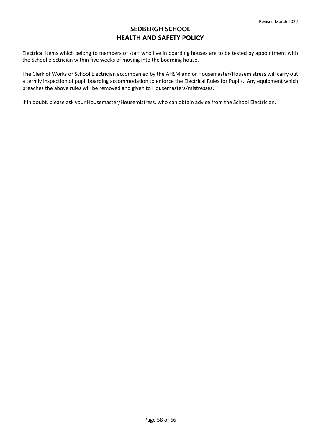Electrical items which belong to members of staff who live in boarding houses are to be tested by appointment with the School electrician within five weeks of moving into the boarding house.

The Clerk of Works or School Electrician accompanied by the AHSM and or Housemaster/Housemistress will carry out a termly inspection of pupil boarding accommodation to enforce the Electrical Rules for Pupils. Any equipment which breaches the above rules will be removed and given to Housemasters/mistresses.

If in doubt, please ask your Housemaster/Housemistress, who can obtain advice from the School Electrician.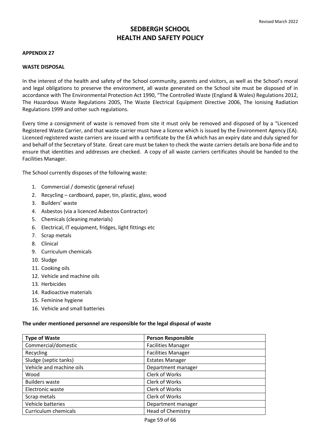## **APPENDIX 27**

### **WASTE DISPOSAL**

In the interest of the health and safety of the School community, parents and visitors, as well as the School's moral and legal obligations to preserve the environment, all waste generated on the School site must be disposed of in accordance with The Environmental Protection Act 1990, "The Controlled Waste (England & Wales) Regulations 2012, The Hazardous Waste Regulations 2005, The Waste Electrical Equipment Directive 2006, The Ionising Radiation Regulations 1999 and other such regulations.

Every time a consignment of waste is removed from site it must only be removed and disposed of by a "Licenced Registered Waste Carrier, and that waste carrier must have a licence which is issued by the Environment Agency (EA). Licenced registered waste carriers are issued with a certificate by the EA which has an expiry date and duly signed for and behalf of the Secretary of State. Great care must be taken to check the waste carriers details are bona-fide and to ensure that identities and addresses are checked. A copy of all waste carriers certificates should be handed to the Facilities Manager.

The School currently disposes of the following waste:

- 1. Commercial / domestic (general refuse)
- 2. Recycling cardboard, paper, tin, plastic, glass, wood
- 3. Builders' waste
- 4. Asbestos (via a licenced Asbestos Contractor)
- 5. Chemicals (cleaning materials)
- 6. Electrical, IT equipment, fridges, light fittings etc
- 7. Scrap metals
- 8. Clinical
- 9. Curriculum chemicals
- 10. Sludge
- 11. Cooking oils
- 12. Vehicle and machine oils
- 13. Herbicides
- 14. Radioactive materials
- 15. Feminine hygiene
- 16. Vehicle and small batteries

#### **The under mentioned personnel are responsible for the legal disposal of waste**

| <b>Type of Waste</b>     | <b>Person Responsible</b> |
|--------------------------|---------------------------|
| Commercial/domestic      | <b>Facilities Manager</b> |
| Recycling                | <b>Facilities Manager</b> |
| Sludge (septic tanks)    | <b>Estates Manager</b>    |
| Vehicle and machine oils | Department manager        |
| Wood                     | Clerk of Works            |
| <b>Builders waste</b>    | Clerk of Works            |
| Electronic waste         | Clerk of Works            |
| Scrap metals             | Clerk of Works            |
| Vehicle batteries        | Department manager        |
| Curriculum chemicals     | <b>Head of Chemistry</b>  |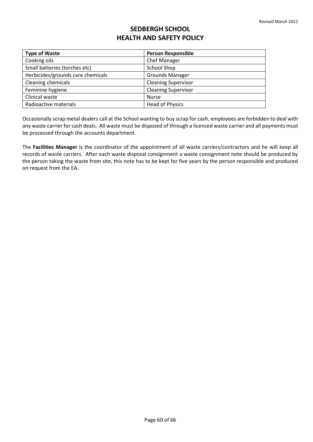| <b>Type of Waste</b>              | <b>Person Responsible</b>  |
|-----------------------------------|----------------------------|
| Cooking oils                      | Chef Manager               |
| Small batteries (torches etc)     | School Shop                |
| Herbicides/grounds care chemicals | <b>Grounds Manager</b>     |
| <b>Cleaning chemicals</b>         | <b>Cleaning Supervisor</b> |
| Feminine hygiene                  | <b>Cleaning Supervisor</b> |
| Clinical waste                    | <b>Nurse</b>               |
| Radioactive materials             | <b>Head of Physics</b>     |

Occasionally scrap metal dealers call at the School wanting to buy scrap for cash, employees are forbidden to deal with any waste carrier for cash deals. All waste must be disposed of through a licenced waste carrier and all payments must be processed through the accounts department.

The **Facilities Manager** is the coordinator of the appointment of all waste carriers/contractors and he will keep all records of waste carriers. After each waste disposal consignment a waste consignment note should be produced by the person taking the waste from site, this note has to be kept for five years by the person responsible and produced on request from the EA.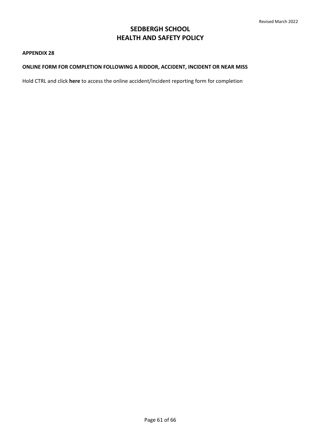#### <span id="page-60-0"></span>**APPENDIX 28**

# **ONLINE FORM FOR COMPLETION FOLLOWING A RIDDOR, ACCIDENT, INCIDENT OR NEAR MISS**

Hold CTRL and click **[here](https://fs27.formsite.com/XIy118/ahfdf77ev4/index.html?1606465692743)** to access the online accident/incident reporting form for completion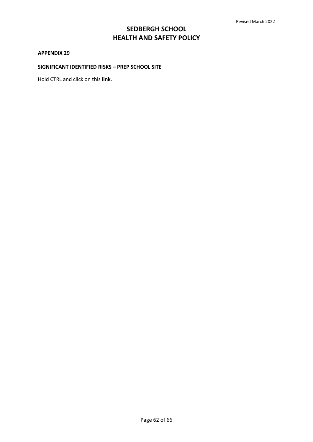#### <span id="page-61-0"></span>**APPENDIX 29**

# **SIGNIFICANT IDENTIFIED RISKS – PREP SCHOOL SITE**

[Hold CTRL and click o](file://///ullswater/mhg/Desktop/School%20Policies/Ongoing%20policy%20work/H&S%20Significant%20Risks/CSPS%20Significant%20Risks%20Identified%20Nov%20)n this **[link](https://sedberghschool.sharepoint.com/:w:/r/sites/TheHub/_layouts/15/Doc.aspx?sourcedoc=%7B78E211E8-81ED-43D4-8CFB-15C03795D61E%7D&file=CSPS%20Significant%20Risks%20Identified%20v2.docx&action=default&mobileredirect=true)**.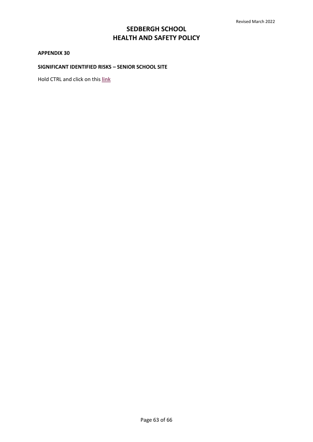### <span id="page-62-0"></span>**APPENDIX 30**

# **SIGNIFICANT IDENTIFIED RISKS – SENIOR SCHOOL SITE**

[Hold CTRL and click o](file://///ullswater/mhg/Desktop/School%20Policies/Ongoing%20policy%20work/H&S%20Significant%20Risks/Senior%20School%20Significant%20Risks%20Identified%20Aug%20)n this **[link](https://sedberghschool.sharepoint.com/:w:/r/sites/TheHub/_layouts/15/Doc.aspx?sourcedoc=%7B0632F59C-3768-456D-A6D8-E151E7097749%7D&file=Sedbergh%20Significant%20Risks%20Identified%20V4.docx&action=default&mobileredirect=true)**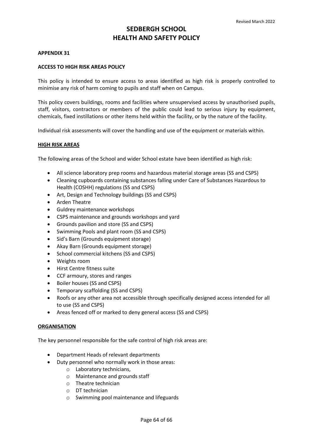#### <span id="page-63-0"></span>**APPENDIX 31**

#### **ACCESS TO HIGH RISK AREAS POLICY**

This policy is intended to ensure access to areas identified as high risk is properly controlled to minimise any risk of harm coming to pupils and staff when on Campus.

This policy covers buildings, rooms and facilities where unsupervised access by unauthorised pupils, staff, visitors, contractors or members of the public could lead to serious injury by equipment, chemicals, fixed instillations or other items held within the facility, or by the nature of the facility.

Individual risk assessments will cover the handling and use of the equipment or materials within.

#### **HIGH RISK AREAS**

The following areas of the School and wider School estate have been identified as high risk:

- All science laboratory prep rooms and hazardous material storage areas (SS and CSPS)
- Cleaning cupboards containing substances falling under Care of Substances Hazardous to Health (COSHH) regulations (SS and CSPS)
- Art, Design and Technology buildings (SS and CSPS)
- Arden Theatre
- Guldrey maintenance workshops
- CSPS maintenance and grounds workshops and yard
- Grounds pavilion and store (SS and CSPS)
- Swimming Pools and plant room (SS and CSPS)
- Sid's Barn (Grounds equipment storage)
- Akay Barn (Grounds equipment storage)
- School commercial kitchens (SS and CSPS)
- Weights room
- Hirst Centre fitness suite
- CCF armoury, stores and ranges
- Boiler houses (SS and CSPS)
- Temporary scaffolding (SS and CSPS)
- Roofs or any other area not accessible through specifically designed access intended for all to use (SS and CSPS)
- Areas fenced off or marked to deny general access (SS and CSPS)

#### **ORGANISATION**

The key personnel responsible for the safe control of high risk areas are:

- Department Heads of relevant departments
- Duty personnel who normally work in those areas:
	- o Laboratory technicians,
	- o Maintenance and grounds staff
	- o Theatre technician
	- o DT technician
	- o Swimming pool maintenance and lifeguards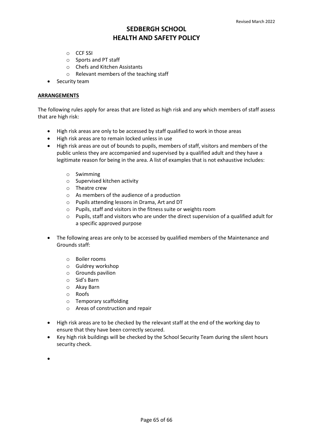- o CCF SSI
- o Sports and PT staff
- o Chefs and Kitchen Assistants
- o Relevant members of the teaching staff
- Security team

### **ARRANGEMENTS**

The following rules apply for areas that are listed as high risk and any which members of staff assess that are high risk:

- High risk areas are only to be accessed by staff qualified to work in those areas
- High risk areas are to remain locked unless in use
- High risk areas are out of bounds to pupils, members of staff, visitors and members of the public unless they are accompanied and supervised by a qualified adult and they have a legitimate reason for being in the area. A list of examples that is not exhaustive includes:
	- o Swimming
	- o Supervised kitchen activity
	- o Theatre crew
	- o As members of the audience of a production
	- o Pupils attending lessons in Drama, Art and DT
	- o Pupils, staff and visitors in the fitness suite or weights room
	- $\circ$  Pupils, staff and visitors who are under the direct supervision of a qualified adult for a specific approved purpose
- The following areas are only to be accessed by qualified members of the Maintenance and Grounds staff:
	- o Boiler rooms
	- o Guldrey workshop
	- o Grounds pavilion
	- o Sid's Barn
	- o Akay Barn
	- o Roofs
	- o Temporary scaffolding
	- o Areas of construction and repair
- High risk areas are to be checked by the relevant staff at the end of the working day to ensure that they have been correctly secured.
- Key high risk buildings will be checked by the School Security Team during the silent hours security check.
- •